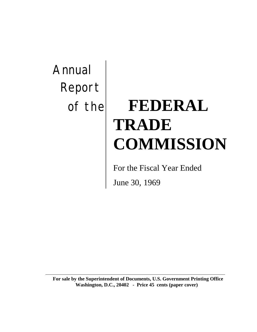Annual Report

# of the **FEDERAL TRADE COMMISSION**

For the Fiscal Year Ended

June 30, 1969

**For sale by the Superintendent of Documents, U.S. Government Printing Office Washington, D.C., 20402 - Price 45 cents (paper cover)**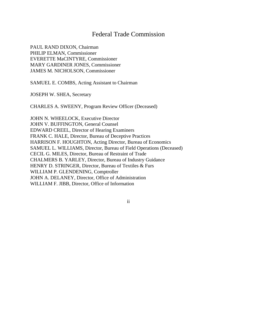## Federal Trade Commission

PAUL RAND DIXON, Chairman PHILIP ELMAN, Commissioner EVERETTE MaCINTYRE, Commissioner MARY GARDINER JONES, Commissioner JAMES M. NICHOLSON, Commissioner

SAMUEL E. COMBS, Acting Assistant to Chairman

JOSEPH W. SHEA, Secretary

CHARLES A. SWEENY, Program Review Officer (Deceased)

JOHN N. WHEELOCK, Executive Director JOHN V. BUFFINGTON, General Counsel EDWARD CREEL, Director of Hearing Examiners FRANK C. HALE, Director, Bureau of Deceptive Practices HARRISON F. HOUGHTON, Acting Director, Bureau of Economics SAMUEL L. WILLIAMS, Director, Bureau of Field Operations (Deceased) CECIL G. MILES, Director, Bureau of Restraint of Trade CHALMERS B. YARLEY, Director, Bureau of Industry Guidance HENRY D. STRINGER, Director, Bureau of Textiles & Furs WILLIAM P. GLENDENING, Comptroller JOHN A. DELANEY, Director, Office of Administration WILLIAM F. JIBB, Director, Office of Information

ii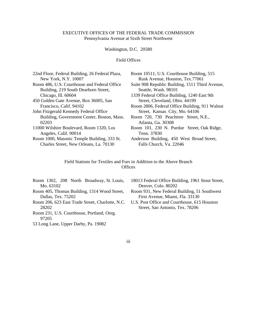#### EXECUTIVE OFFICES OF THE FEDERAL TRADE COMMISSION Pennsylvania Avenue at Sixth Street Northwest

Washington, D.C. 20580

#### Field Offices

| 22nd Floor, Federal Building, 26 Federal Plaza, | Room 10511, U.S. Courthouse Building, 515       |
|-------------------------------------------------|-------------------------------------------------|
| New York, N.Y. 10007                            | Rusk Avenue, Houston, Tex.77061                 |
| Room 486, U.S. Courthouse and Federal Office    | Suite 908 Republic Building, 1511 Third Avenue, |
| Building, 219 South Dearborn Street,            | Seattle, Wash. 98101                            |
| Chicago, Ill. 60604                             | 1339 Federal Office Building, 1240 East 9th     |
| 450 Golden Gate Avenue, Box 36005, San          | Street, Cleveland, Ohio. 44199                  |
| Francisco, Calif. 94102                         | Room 2806, Federal Office Building, 911 Walnut  |
| John Fitzgerald Kennedy Federal Office          | Street, Kansas City, Mo. 64106                  |
| Building, Government Center, Boston, Mass.      | Room 720, 730 Peachtree Street, N.E.,           |
| 02203                                           | Atlanta, Ga. 30308                              |
| 11000 Wilshire Boulevard, Room 1320, Los        | Room 101, 230 N. Purdue Street, Oak Ridge,      |
| Angeles, Calif. 90014                           | Tenn. 37830                                     |
| Room 1000, Masonic Temple Building, 333 St.     | Anderson Building, 450 West Broad Street,       |
| Charles Street, New Orleans, La. 70130          | Falls Church, Va. 22046                         |
|                                                 |                                                 |

Field Stations for Textiles and Furs in Addition to the Above Branch **Offices** 

- Room 1302, 208 North Broadway, St. Louis, Mo. 63102
- Room 405, Thomas Building, 1314 Wood Street, Dallas, Tex. 75202
- Room 206, 623 East Trade Street, Charlotte, N.C. 28202
- Room 231, U.S. Courthouse, Portland, Oreg. 97205
- 53 Long Lane, Upper Darby, Pa. 19082
- 18013 Federal Office Building, 1961 Stout Street, Denver, Colo. 80202
- Room 931, New Federal Building, 51 Southwest First Avenue, Miami, Fla. 33130
- U.S. Post Office and Courthouse, 615 Houston Street, San Antonio, Tex. 78206

iii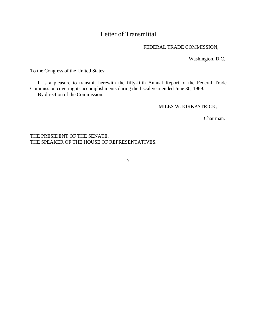## Letter of Transmittal

## FEDERAL TRADE COMMISSION,

Washington, D.C.

To the Congress of the United States:

It is a pleasure to transmit herewith the fifty-fifth Annual Report of the Federal Trade Commission covering its accomplishments during the fiscal year ended June 30, 1969. By direction of the Commission.

MILES W. KIRKPATRICK,

Chairman.

THE PRESIDENT OF THE SENATE. THE SPEAKER OF THE HOUSE OF REPRESENTATIVES.

v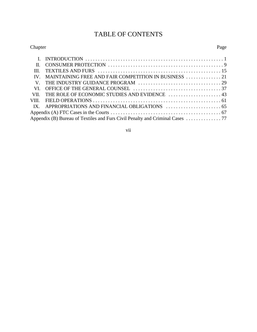## TABLE OF CONTENTS

## Chapter Page I. INTRODUCTION ....................................................... 1 II. CONSUMER PROTECTION .............................................. 9 III. TEXTILES AND FURS ................................................. 15 IV. MAINTAINING FREE AND FAIR COMPETITION IN BUSINESS .............. 21 V. THE INDUSTRY GUIDANCE PROGRAM ................................. 29 VI. OFFICE OF THE GENERAL COUNSEL ................................... 37 VII. THE ROLE OF ECONOMIC STUDIES AND EVIDENCE ............................ 43 VIII. FIELD OPERATIONS ................................................... 61 IX. APPROPRIATIONS AND FINANCIAL OBLIGATIONS  $\ldots$ Appendix (A) FTC Cases in the Courts ............................................ 67

vii

Appendix (B) Bureau of Textiles and Furs Civil Penalty and Criminal Cases .............. 77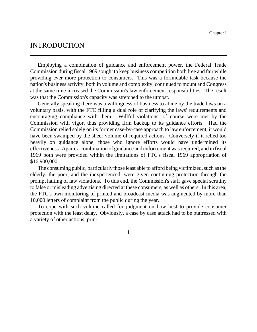## INTRODUCTION

Employing a combination of guidance and enforcement power, the Federal Trade Commission during fiscal 1969 sought to keep business competition both free and fair while providing ever more protection to consumers. This was a formidable task because the nation's business activity, both in volume and complexity, continued to mount and Congress at the same time increased the Commission's law enforcement responsibilities. The result was that the Commission's capacity was stretched to the utmost.

Generally speaking there was a willingness of business to abide by the trade laws on a voluntary basis, with the FTC filling a dual role of clarifying the laws' requirements and encouraging compliance with them. Willful violations, of course were met by the Commission with vigor, thus providing firm backup to its guidance efforts. Had the Commission relied solely on its former case-by-case approach to law enforcement, it would have been swamped by the sheer volume of required actions. Conversely if it relied too heavily on guidance alone, those who ignore efforts would have undermined its effectiveness. Again, a combination of guidance and enforcement was required, and in fiscal 1969 both were provided within the limitations of FTC's fiscal 1969 appropriation of \$16,900,000.

The consuming public, particularly those least able to afford being victimized, such as the elderly, the poor, and the inexperienced, were given continuing protection through the prompt halting of law violations. To this end, the Commission's staff gave special scrutiny to false or misleading advertising directed at these consumers, as well as others. In this area, the FTC's own monitoring of printed and broadcast media was augmented by more than 10,000 letters of complaint from the public during the year.

To cope with such volume called for judgment on how best to provide consumer protection with the least delay. Obviously, a case by case attack had to be buttressed with a variety of other actions, prin-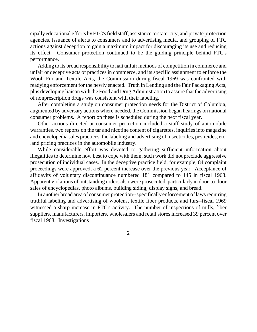cipally educational efforts byFTC'sfield staff, assistance to state, city, and private protection agencies, issuance of alerts to consumers and to advertising media, and grouping of FTC actions against deception to gain a maximum impact for discouraging its use and reducing its effect. Consumer protection continued to be the guiding principle behind FTC's performance.

Adding to its broad responsibility to halt unfair methods of competition in commerce and unfair or deceptive acts or practices in commerce, and its specific assignment to enforce the Wool, Fur and Textile Acts, the Commission during fiscal 1969 was confronted with readying enforcement for the newly enacted. Truth in Lending and the Fair Packaging Acts, plus developing liaison with the Food and Drug Administration to assure that the advertising of nonprescription drugs was consistent with their labeling.

After completing a study on consumer protection needs for the District of Columbia, augmented by adversary actions where needed, the Commission began hearings on national consumer problems. A report on these is scheduled during the next fiscal year.

Other actions directed at consumer protection included a staff study of automobile warranties, two reports on the tar and nicotine content of cigarettes, inquiries into magazine and encyclopedia sales practices, the labeling and advertising of insecticides, pesticides, etc. .and pricing practices in the automobile industry.

While considerable effort was devoted to gathering sufficient information about illegalities to determine how best to cope with them, such work did not preclude aggressive prosecution of individual cases. In the deceptive practice field, for example, 84 complaint proceedings were approved, a 62 percent increase over the previous year. Acceptance of affidavits of voluntary discontinuance numbered 181 compared to 145 in fiscal 1968. Apparent violations of outstanding orders also were prosecuted, particularly in door-to-door sales of encyclopedias, photo albums, building siding, display signs, and bread.

In another broad area of consumer protection--specifically enforcement of lawsrequiring truthful labeling and advertising of woolens, textile fiber products, and furs--fiscal 1969 witnessed a sharp increase in FTC's activity. The number of inspections of mills, fiber suppliers, manufacturers, importers, wholesalers and retail stores increased 39 percent over fiscal 1968. Investigations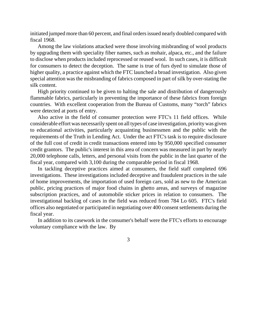initiated jumped more than 60 percent, and final orders issued nearly doubled compared with fiscal 1968.

Among the law violations attacked were those involving misbranding of wool products by upgrading them with speciality fiber names, such as mohair, alpaca, etc., and the failure to disclose when products included reprocessed or reused wool. In such cases, it is difficult for consumers to detect the deception. The same is true of furs dyed to simulate those of higher quality, a practice against which the FTC launched a broad investigation. Also given special attention was the misbranding of fabrics composed in part of silk by over-stating the silk content.

High priority continued to be given to halting the sale and distribution of dangerously flammable fabrics, particularly in preventing the importance of these fabrics from foreign countries. With excellent cooperation from the Bureau of Customs, many "torch" fabrics were detected at ports of entry.

Also active in the field of consumer protection were FTC's 11 field offices. While considerable effort was necessarily spent on all types of case investigation, priority was given to educational activities, particularly acquainting businessmen and the public with the requirements of the Truth in Lending Act. Under the act FTC's task is to require disclosure of the full cost of credit in credit transactions entered into by 950,000 specified consumer credit grantors. The public's interest in this area of concern was measured in part by nearly 20,000 telephone calls, letters, and personal visits from the public in the last quarter of the fiscal year, compared with 3,100 during the comparable period in fiscal 1968.

In tackling deceptive practices aimed at consumers, the field staff completed 696 investigations. These investigations included deceptive and fraudulent practices in the sale of home improvements, the importation of used foreign cars, sold as new to the American public, pricing practices of major food chains in ghetto areas, and surveys of magazine subscription practices, and of automobile sticker prices in relation to consumers. The investigational backlog of cases in the field was reduced from 784 Lo 605. FTC's field offices also negotiated or participated in negotiating over 400 consent settlements during the fiscal year.

In addition to its casework in the consumer's behalf were the FTC's efforts to encourage voluntary compliance with the law. By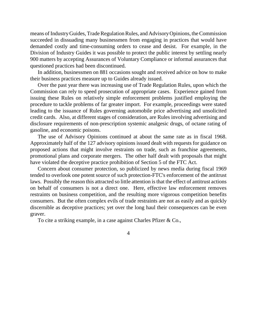means of Industry Guides, Trade Regulation Rules, and Advisory Opinions, the Commission succeeded in dissuading many businessmen from engaging in practices that would have demanded costly and time-consuming orders to cease and desist. For example, in the Division of Industry Guides it was possible to protect the public interest by settling nearly 900 matters by accepting Assurances of Voluntary Compliance or informal assurances that questioned practices had been discontinued.

In addition, businessmen on 881 occasions sought and received advice on how to make their business practices measure up to Guides already issued.

Over the past year there was increasing use of Trade Regulation Rules, upon which the Commission can rely to speed prosecution of appropriate cases. Experience gained from issuing these Rules on relatively simple enforcement problems justified employing the procedure to tackle problems of far greater import. For example, proceedings were stated leading to the issuance of Rules governing automobile price advertising and unsolicited credit cards. Also, at different stages of consideration, are Rules involving advertising and disclosure requirements of non-prescription systemic analgesic drugs, of octane rating of gasoline, and economic poisons.

The use of Advisory Opinions continued at about the same rate as in fiscal 1968. Approximately half of the 127 advisory opinions issued dealt with requests for guidance on proposed actions that might involve restraints on trade, such as franchise agreements, promotional plans and corporate mergers. The other half dealt with proposals that might have violated the deceptive practice prohibition of Section 5 of the FTC Act.

Concern about consumer protection, so publicized by news media during fiscal 1969 tended to overlook one potent source of such protection-FTC's enforcement of the antitrust laws. Possibly the reason this attracted so little attention is that the effect of antitrust actions on behalf of consumers is not a direct one. Here, effective law enforcement removes restraints on business competition, and the resulting more vigorous competition benefits consumers. But the often complex evils of trade restraints are not as easily and as quickly discernible as deceptive practices; yet over the long haul their consequences can be even graver.

To cite a striking example, in a case against Charles Pfizer & Co.,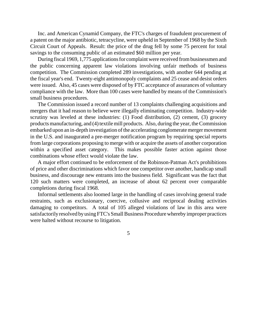Inc. and American Cynamid Company, the FTC's charges of fraudulent procurement of a patent on the major antibiotic, tetracycline, were upheld in September of 1968 by the Sixth Circuit Court of Appeals. Result: the price of the drug fell by some 75 percent for total savings to the consuming public of an estimated \$60 million per year.

During fiscal 1969, 1,775 applications for complaint were received from businessmen and the public concerning apparent law violations involving unfair methods of business competition. The Commission completed 289 investigations, with another 644 pending at the fiscal year's end. Twenty-eight antimonopoly complaints and 25 cease and desist orders were issued. Also, 45 cases were disposed of by FTC acceptance of assurances of voluntary compliance with the law. More than 100 cases were handled by means of the Commission's small business procedures.

The Commission issued a record number of 13 complaints challenging acquisitions and mergers that it had reason to believe were illegally eliminating competition. Industry-wide scrutiny was leveled at these industries: (1) Food distribution, (2) cement, (3) grocery products manufacturing, and (4) textile mill products. Also, during the year, the Commission embarked upon an in-depth investigation of the accelerating conglomerate merger movement in the U.S. and inaugurated a pre-merger notification program by requiring special reports from large corporations proposing to merge with or acquire the assets of another corporation within a specified asset category. This makes possible faster action against those combinations whose effect would violate the law.

A major effort continued to be enforcement of the Robinson-Patman Act's prohibitions of price and other discriminations which favor one competitor over another, handicap small business, and discourage new entrants into the business field. Significant was the fact that 120 such matters were completed, an increase of about 62 percent over comparable completions during fiscal 1968.

Informal settlements also loomed large in the handling of cases involving general trade restraints, such as exclusionary, coercive, collusive and reciprocal dealing activities damaging to competitors. A total of 105 alleged violations of law in this area were satisfactorily resolved by using FTC's Small Business Procedure whereby improper practices were halted without recourse to litigation.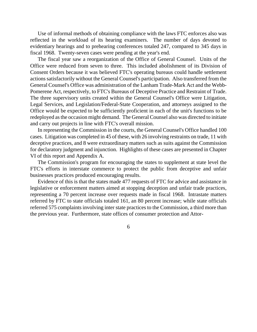Use of informal methods of obtaining compliance with the laws FTC enforces also was reflected in the workload of its hearing examiners. The number of days devoted to evidentiary hearings and to prehearing conferences totaled 247, compared to 345 days in fiscal 1968. Twenty-seven cases were pending at the year's end.

The fiscal year saw a reorganization of the Office of General Counsel. Units of the Office were reduced from seven to three. This included abolishment of its Division of Consent Orders because it was believed FTC's operating bureaus could handle settlement actions satisfactorily without the General Counsel's participation. Also transferred from the General Counsel's Office was administration of the Lanham Trade-Mark Act and the Webb-Pomerene Act, respectively, to FTC's Bureaus of Deceptive Practice and Restraint of Trade. The three supervisory units created within the General Counsel's Office were Litigation, Legal Services, and Legislation/Federal-State Cooperation, and attorneys assigned to the Office would be expected to be sufficiently proficient in each of the unit's functions to be redeployed asthe occasion might demand. The General Counsel also was directed to initiate and carry out projects in line with FTC's overall mission.

In representing the Commission in the courts, the General Counsel's Office handled 100 cases. Litigation was completed in 45 of these, with 26 involving restraints on trade, 11 with deceptive practices, and 8 were extraordinary matters such as suits against the Commission for declaratory judgment and injunction. Highlights of these cases are presented in Chapter VI of this report and Appendix A.

The Commission's program for encouraging the states to supplement at state level the FTC's efforts in interstate commerce to protect the public from deceptive and unfair businesses practices produced encouraging results.

Evidence of this is that the states made 477 requests of FTC for advice and assistance in legislative or enforcement matters aimed at stopping deception and unfair trade practices, representing a 70 percent increase over requests made in fiscal 1968. Intrastate matters referred by FTC to state officials totaled 161, an 80 percent increase; while state officials referred 575 complaints involving inter state practices to the Commission, a third more than the previous year. Furthermore, state offices of consumer protection and Attor-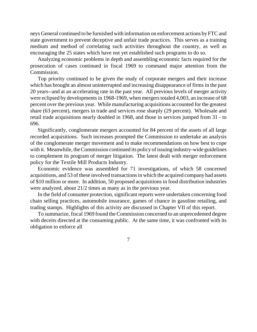neys General continued to be furnished with information on enforcement actions by FTC and state government to prevent deceptive and unfair trade practices. This serves as a training medium and method of correlating such activities throughout the country, as well as encouraging the 25 states which have not yet established such programs to do so.

Analyzing economic problems in depth and assembling economic facts required for the prosecution of cases continued in fiscal 1969 to command major attention from the Commission.

Top priority continued to be given the study of corporate mergers and their increase which has brought an almost uninterrupted and increasing disappearance of firms in the past 20 years--and at an accelerating rate in the past year. All previous levels of merger activity were eclipsed by developments in 1968-1969, when mergers totaled 4,003, an increase of 68 percent over the previous year. While manufacturing acquisitions accounted for the greatest share (63 percent), mergers in trade and services rose sharply (29 percent). Wholesale and retail trade acquisitions nearly doubled in 1968, and those in services jumped from 31 - to 696.

Significantly, conglomerate mergers accounted for 84 percent of the assets of all large recorded acquisitions. Such increases prompted the Commission to undertake an analysis of the conglomerate merger movement and to make recommendations on how best to cope with it. Meanwhile, the Commission continued its policy of issuing industry-wide guidelines to complement its program of merger litigation. The latest dealt with merger enforcement policy for the Textile Mill Products Industry.

Economic evidence was assembled for 71 investigations, of which 58 concerned acquisitions, and 53 of these involved transactions in which the acquired company had assets of \$10 million or more. In addition, 50 proposed acquisitions in food distribution industries were analyzed, about 21/2 times as many as in the previous year.

In the field of consumer protection, significant reports were undertaken concerning food chain selling practices, automobile insurance, games of chance in gasoline retailing, and trading stamps. Highlights of this activity are discussed in Chapter VII of this report.

To summarize, fiscal 1969 found theCommission concerned to an unprecedented degree with deceits directed at the consuming public. At the same time, it was confronted with its obligation to enforce all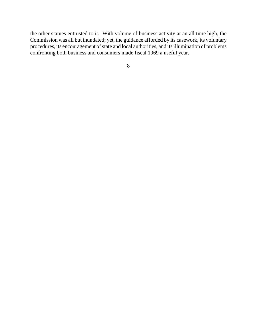the other statues entrusted to it. With volume of business activity at an all time high, the Commission was all but inundated; yet, the guidance afforded by its casework, its voluntary procedures, its encouragement of state and local authorities, and its illumination of problems confronting both business and consumers made fiscal 1969 a useful year.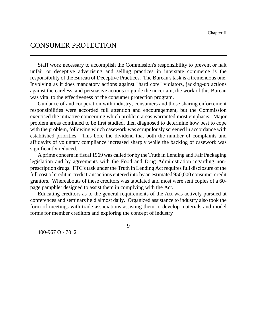# CONSUMER PROTECTION

Staff work necessary to accomplish the Commission's responsibility to prevent or halt unfair or deceptive advertising and selling practices in interstate commerce is the responsibility of the Bureau of Deceptive Practices. The Bureau's task is a tremendous one. Involving as it does mandatory actions against "hard core" violators, jacking-up actions against the careless, and persuasive actions to guide the uncertain, the work of this Bureau was vital to the effectiveness of the consumer protection program.

Guidance of and cooperation with industry, consumers and those sharing enforcement responsibilities were accorded full attention and encouragement, but the Commission exercised the initiative concerning which problem areas warranted most emphasis. Major problem areas continued to be first studied, then diagnosed to determine how best to cope with the problem, following which casework was scrupulously screened in accordance with established priorities. This bore the dividend that both the number of complaints and affidavits of voluntary compliance increased sharply while the backlog of casework was significantly reduced.

A prime concern in fiscal 1969 was called for by the Truth in Lending and Fair Packaging legislation and by agreements with the Food and Drug Administration regarding nonprescription drugs. FTC's task under the Truth in Lending Act requires full disclosure of the full cost of credit in credit transactions entered into by an estimated 950,000 consumer credit grantors. Whereabouts of these creditors was tabulated and most were sent copies of a 60 page pamphlet designed to assist them in complying with the Act.

Educating creditors as to the general requirements of the Act was actively pursued at conferences and seminars held almost daily. Organized assistance to industry also took the form of meetings with trade associations assisting them to develop materials and model forms for member creditors and exploring the concept of industry

9

400-967 O - 70 2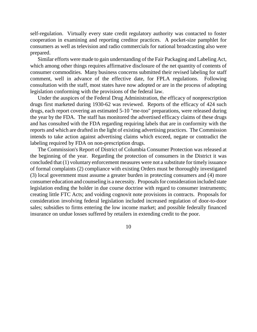self-regulation. Virtually every state credit regulatory authority was contacted to foster cooperation in examining and reporting creditor practices. A pocket-size pamphlet for consumers as well as television and radio commercials for national broadcasting also were prepared.

Similar efforts were made to gain understanding of the Fair Packaging and Labeling Act, which among other things requires affirmative disclosure of the net quantity of contents of consumer commodities. Many business concerns submitted their revised labeling for staff comment, well in advance of the effective date, for FPLA regulations. Following consultation with the staff, most states have now adopted or are in the process of adopting legislation conforming with the provisions of the federal law.

Under the auspices of the Federal Drug Administration, the efficacy of nonprescription drugs first marketed during 1930-62 was reviewed. Reports of the efficacy of 424 such drugs, each report covering an estimated 5-10 "me-too" preparations, were released during the year by the FDA. The staff has monitored the advertised efficacy claims of these drugs and has consulted with the FDA regarding requiring labels that are in conformity with the reports and which are drafted in the light of existing advertising practices. The Commission intends to take action against advertising claims which exceed, negate or contradict the labeling required by FDA on non-prescription drugs.

The Commission's Report of District of Columbia Consumer Protection was released at the beginning of the year. Regarding the protection of consumers in the District it was concluded that (1) voluntary enforcement measures were not a substitute for timely issuance of formal complaints (2) compliance with existing Orders must be thoroughly investigated (3) local government must assume a greater burden in protecting consumers and (4) more consumer education and counseling is a necessity. Proposals for consideration included state legislation ending the holder in due course doctrine with regard to consumer instruments; creating little FTC Acts; and voiding cognovit note provisions in contracts. Proposals for consideration involving federal legislation included increased regulation of door-to-door sales; subsidies to firms entering the low income market; and possible federally financed insurance on undue losses suffered by retailers in extending credit to the poor.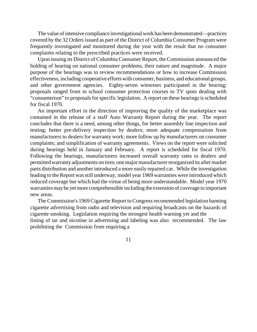The value of intensive compliance investigational work has been demonstrated—practices covered by the 32 Orders issued as part of the District of Columbia Consumer Program were frequently investigated and monitored during the year with the result that no consumer complaints relating to the prescribed practices were received.

Upon issuing its District of Columbia Consumer Report, the Commission announced the holding of hearing on national consumer problems, their nature and magnitude. A major purpose of the hearings was to review recommendations or how to increase Commission effectiveness, including cooperative efforts with consumer, business, and educational groups, and other government agencies. Eighty-seven witnesses participated in the hearing; proposals ranged from in school consumer protection courses to TV spots dealing with "consumerism" to proposals for specific legislation. A report on these hearings is scheduled for fiscal 1970.

An important effort in the direction of improving the quality of the marketplace was contained in the release of a staff Auto Warranty Report during the year. The report concludes that there is a need, among other things, for better assembly line inspection and testing; better pre-delivery inspection by dealers; more adequate compensation from manufacturers to dealers for warranty work; more follow up by manufacturers on consumer complaints; and simplification of warranty agreements. Views on the report were solicited during hearings held in January and February. A report is scheduled for fiscal 1970. Following the hearings, manufacturers increased overall warranty rates to dealers and permitted warrantyadjustments on tires; onemajormanufacturerreorganized its aftermarket parts distribution and another introduced a more easily repaired car. While the investigation leading to the Report was still underway, model year 1969 warranties were introduced which reduced coverage but which had the virtue of being more understandable. Model year 1970 warranties may be yet more comprehensible including the extension of coverage to important new areas.

The Commission's 1969 Cigarette Report to Congressrecommended legislation banning cigarette advertising from radio and television and requiring broadcasts on the hazards of cigarette smoking. Legislation requiring the strongest health warning yet and the listing of tar and nicotine in advertising and labeling was also recommended. The law prohibiting the Commission from requiring a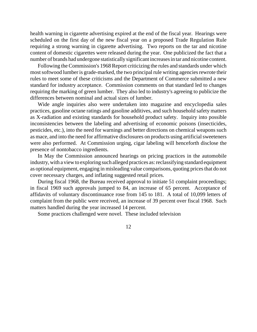health warning in cigarette advertising expired at the end of the fiscal year. Hearings were scheduled on the first day of the new fiscal year on a proposed Trade Regulation Rule requiring a strong warning in cigarette advertising. Two reports on the tar and nicotine content of domestic cigarettes were released during the year. One publicized the fact that a number of brands had undergone statistically significant increases in tar and nicotine content.

Following the Commission's 1968 Report criticizing the rules and standards under which most softwood lumber is grade-marked, the two principal rule writing agencies rewrote their rules to meet some of these criticisms and the Department of Commerce submitted a new standard for industry acceptance. Commission comments on that standard led to changes requiring the marking of green lumber. They also led to industry's agreeing to publicize the differences between nominal and actual sizes of lumber.

Wide angle inquiries also were undertaken into magazine and encyclopedia sales practices, gasoline octane ratings and gasoline additives, and such household safety matters as X-radiation and existing standards for household product safety. Inquiry into possible inconsistencies between the labeling and advertising of economic poisons (insecticides, pesticides, etc.), into the need for warnings and better directions on chemical weapons such as mace, and into the need for affirmative disclosures on products using artificial sweeteners were also performed. At Commission urging, cigar labeling will henceforth disclose the presence of nontobacco ingredients.

In May the Commission announced hearings on pricing practices in the automobile industry, with a view to exploring such alleged practices as: reclassifying standard equipment as optional equipment, engaging in misleading value comparisons, quoting prices that do not cover necessary charges, and inflating suggested retail prices.

During fiscal 1968, the Bureau received approval to initiate 51 complaint proceedings; in fiscal 1969 such approvals jumped to 84, an increase of 65 percent. Acceptance of affidavits of voluntary discontinuance rose from 145 to 181. A total of 10,099 letters of complaint from the public were received, an increase of 39 percent over fiscal 1968. Such matters handled during the year increased 14 percent.

Some practices challenged were novel. These included television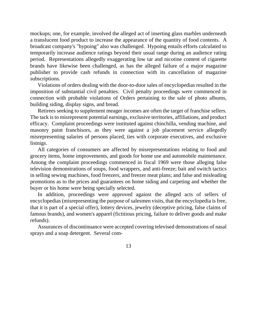mockups; one, for example, involved the alleged act of inserting glass marbles underneath a translucent food product to increase the appearance of the quantity of food contents. A broadcast company's "hypoing" also was challenged. Hypoing entails efforts calculated to temporarily increase audience ratings beyond their usual range during an audience rating period. Representations allegedly exaggerating low tar and nicotine content of cigarette brands have likewise been challenged, as has the alleged failure of a major magazine publisher to provide cash refunds in connection with its cancellation of magazine subscriptions.

Violations of orders dealing with the door-to-door sales of encyclopedias resulted in the imposition of substantial civil penalties. Civil penalty proceedings were commenced in connection with probable violations of Orders pertaining to the sale of photo albums, building siding, display signs, and bread.

Retirees seeking to supplement meager incomes are often the target of franchise sellers. The tack is to misrepresent potential earnings, exclusive territories, affiliations, and product efficacy. Complaint proceedings were instituted against chinchilla, vending machine, and masonry paint franchisors, as they were against a job placement service allegedly misrepresenting salaries of persons placed, ties with corporate executives, and exclusive listnigs.

All categories of consumers are affected by misrepresentations relating to food and grocery items, home improvements, and goods for home use and automobile maintenance. Among the complaint proceedings commenced in fiscal 1969 were those alleging false television demonstrations of soups, food wrappers, and anti-freeze; bait and switch tactics in selling sewing machines, food freezers, and freezer meat plans; and false and misleading promotions as to the prices and guarantees on home siding and carpeting and whether the buyer or his home were being specially selected.

In addition, proceedings were approved against the alleged acts of sellers of encyclopedias (misrepresenting the purpose of salesmen visits, that the encyclopedia is free, that it is part of a special offer), lottery devices, jewelry (deceptive pricing, false claims of famous brands), and women's apparel (fictitious pricing, failure to deliver goods and make refunds).

Assurances of discontinuance were accepted covering televised demonstrations of nasal sprays and a soap detergent. Several com-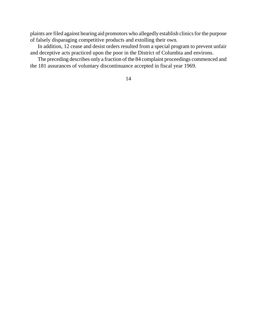plaints are filed against hearing aid promotors who allegedly establish clinics for the purpose of falsely disparaging competitive products and extolling their own.

In addition, 12 cease and desist orders resulted from a special program to prevent unfair and deceptive acts practiced upon the poor in the District of Columbia and environs.

The preceding describes only a fraction of the 84 complaint proceedings commenced and the 181 assurances of voluntary discontinuance accepted in fiscal year 1969.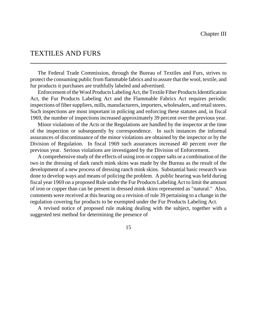## TEXTILES AND FURS

The Federal Trade Commission, through the Bureau of Textiles and Furs, strives to protect the consuming public from flammable fabrics and to assure that the wool, textile, and fur products it purchases are truthfully labeled and advertised.

Enforcement of the Wool Products Labeling Act, the Textile Fiber Products Identification Act, the Fur Products Labeling Act and the Flammable Fabrics Act requires periodic inspections of fiber suppliers, mills, manufacturers, importers, wholesalers, and retail stores. Such inspections are most important in policing and enforcing these statutes and, in fiscal 1969, the number of inspectionsincreased approximately 39 percent over the previous year.

Minor violations of the Acts or the Regulations are handled by the inspector at the time of the inspection or subsequently by correspondence. In such instances the informal assurances of discontinuance of the minor violations are obtained by the inspector or by the Division of Regulation. In fiscal 1969 such assurances increased 40 percent over the previous year. Serious violations are investigated by the Division of Enforcement.

A comprehensive study of the effects of using iron or coppersalts or a combination of the two in the dressing of dark ranch mink skins was made by the Bureau as the result of the development of a new process of dressing ranch mink skins. Substantial basic research was done to develop ways and means of policing the problem. A public hearing was held during fiscal year 1969 on a proposed Rule under the Fur Products Labeling Act to limit the amount of iron or copper than can be present in dressed mink skins represented as "natural." Also, comments were received at this hearing on a revision of rule 39 pertaining to a change in the regulation covering fur products to be exempted under the Fur Products Labeling Act.

A revised notice of proposed rule making dealing with the subject, together with a suggested test method for determining the presence of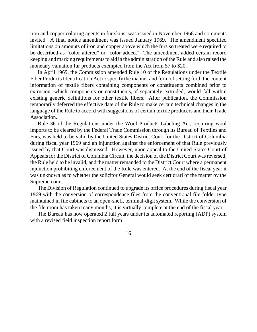iron and copper coloring agents in fur skins, was issued in November 1968 and comments invited. A final notice amendment was issued January 1969. The amendment specified limitations on amounts of iron and copper above which the furs so treated were required to be described as "color altered" or "color added." The amendment added certain record keeping and marking requirements to aid in the administration of the Rule and also raised the monetary valuation fur products exempted from the Act from \$7 to \$20.

In April 1969, the Commission amended Rule 10 of the Regulations under the Textile Fiber Products Identification Act to specify the manner and form of setting forth the content information of textile fibers containing components or constituents combined prior to extrusion, which components or constituents, if separately extruded, would fall within existing generic definitions for other textile fibers. After publication, the Commission temporarily deferred the effective date of the Rule to make certain technical changes in the language of the Rule to accord with suggestions of certain textile producers and their Trade Association.

Rule 36 of the Regulations under the Wool Products Labeling Act, requiring wool imports to be cleared by the Federal Trade Commission through its Bureau of Textiles and Furs, was held to be valid by the United States District Court for the District of Columbia during fiscal year 1969 and an injunction against the enforcement of that Rule previously issued by that Court was dismissed. However, upon appeal to the United States Court of Appeals for the District of Columbia Circuit, the decision of the District Court was reversed, the Rule held to be invalid, and the matter remanded to the District Court where a permanent injunction prohibiting enforcement of the Rule was entered. At the end of the fiscal year it was unknown as to whether the solicitor General would seek certiorari of the matter by the Supreme court.

The Division of Regulation continued to upgrade its office procedures during fiscal year 1969 with the conversion of correspondence files from the conventional file folder type maintained in file cabinets to an open-shelf, terminal-digit system. While the conversion of the file room has taken many months, it is virtually complete at the end of the fiscal year.

The Bureau has now operated 2 full years under its automated reporting (ADP) system with a revised field inspection report form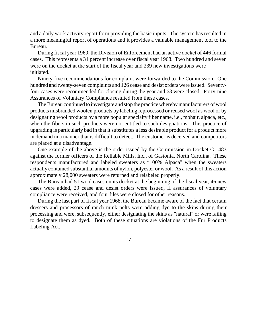and a daily work activity report form providing the basic inputs. The system has resulted in a more meaningful report of operations and it provides a valuable management tool to the Bureau.

During fiscal year 1969, the Division of Enforcement had an active docket of 446 formal cases. This represents a 31 percent increase over fiscal year 1968. Two hundred and seven were on the docket at the start of the fiscal year and 239 new investigations were initiated.

Ninety-five recommendations for complaint were forwarded to the Commission. One hundred and twenty-seven complaints and 126 cease and desist orders were issued. Seventyfour cases were recommended for closing during the year and 63 were closed. Forty-nine Assurances of Voluntary Compliance resulted from these cases.

The Bureau continued to investigate and stop the practice whereby manufacturers of wool products misbranded woolen products by labeling reprocessed or reused wool as wool or by designating wool products by a more popular specialty fiber name, i.e., mohair, alpaca, etc., when the fibers in such products were not entitled to such designations. This practice of upgrading is particularly bad in that it substitutes a less desirable product for a product more in demand in a manner that is difficult to detect. The customer is deceived and competitors are placed at a disadvantage.

One example of the above is the order issued by the Commission in Docket C-1483 against the former officers of the Reliable Mills, Inc., of Gastonia, North Carolina. These respondents manufactured and labeled sweaters as "100% Alpaca" when the sweaters actually contained substantial amounts of nylon, polyester or wool. As a result of this action approximately 28,000 sweaters were returned and relabeled properly.

The Bureau had 51 wool cases on its docket at the beginning of the fiscal year, 46 new cases were added, 29 cease and desist orders were issued, II assurances of voluntary compliance were received, and four files were closed for other reasons.

During the last part of fiscal year 1968, the Bureau became aware of the fact that certain dressers and processors of ranch mink pelts were adding dye to the skins during their processing and were, subsequently, either designating the skins as "natural" or were failing to designate them as dyed. Both of these situations are violations of the Fur Products Labeling Act.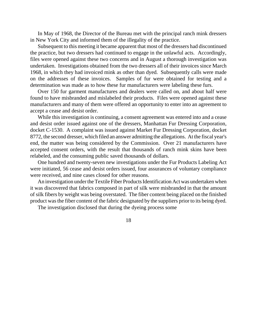In May of 1968, the Director of the Bureau met with the principal ranch mink dressers in New York City and informed them of the illegality of the practice.

Subsequent to this meeting it became apparent that most of the dressers had discontinued the practice, but two dressers had continued to engage in the unlawful acts. Accordingly, files were opened against these two concerns and in August a thorough investigation was undertaken. Investigations obtained from the two dressers all of their invoices since March 1968, in which they had invoiced mink as other than dyed. Subsequently calls were made on the addresses of these invoices. Samples of fur were obtained for testing and a determination was made as to how these fur manufacturers were labeling these furs.

Over 150 fur garment manufactures and dealers were called on, and about half were found to have misbranded and mislabeled their products. Files were opened against these manufacturers and many of them were offered an opportunity to enter into an agreement to accept a cease and desist order.

While this investigation is continuing, a consent agreement was entered into and a cease and desist order issued against one of the dressers, Manhattan Fur Dressing Corporation, docket C-1530. A complaint was issued against Market Fur Dressing Corporation, docket 8772, the second dresser, which filed an answer admitting the allegations. At the fiscal year's end, the matter was being considered by the Commission. Over 21 manufacturers have accepted consent orders, with the result that thousands of ranch mink skins have been relabeled, and the consuming public saved thousands of dollars.

One hundred and twenty-seven new investigations under the Fur Products Labeling Act were initiated, 56 cease and desist orders issued, four assurances of voluntary compliance were received, and nine cases closed for other reasons.

An investigation under the Textile Fiber Products Identification Act was undertaken when it was discovered that fabrics composed in part of silk were misbranded in that the amount of silk fibers by weight was being overstated. The fiber content being placed on the finished product wasthe fiber content of the fabric designated by the suppliers prior to its being dyed.

The investigation disclosed that during the dyeing process some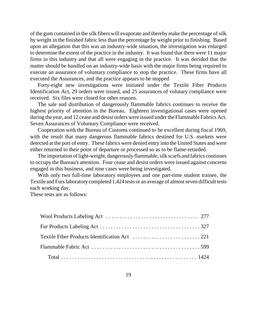of the gum contained in the silk fibers will evaporate and thereby make the percentage of silk by weight in the finished fabric less than the percentage by weight prior to finishing. Based upon an allegation that this was an industry-wide situation, the investigation was enlarged to determine the extent of the practice in the industry. It was found that there were 11 major firms in this industry and that all were engaging in the practice. It was decided that the matter should be handled on an industry-wide basis with the major firms being required to execute an assurance of voluntary compliance to stop the practice. These firms have all executed the Assurances, and the practice appears to be stopped

Forty-eight new investigations were initiated under the Textile Fiber Products Identification Act, 29 orders were issued, and 25 assurances of volutary compliance were received. Six files were closed for other reasons.

The sale and distribution of dangerously flammable fabrics continues to receive the highest priority of attention in the Bureau. Eighteen investigational cases were opened during the year, and 12 cease and desist orders were issued under the Flammable Fabrics Act. Seven Assurances of Voluntary Compliance were received.

Cooperation with the Bureau of Customs continued to be excellent during fiscal 1969, with the result that many dangerous flammable fabrics destined for U.S. markets were detected at the port of entry. These fabrics were denied entry into the United States and were either returned to their point of departure or processed so as to be flame-retarded.

The importation of light-weight, dangerously flammable, silk scarfs and fabrics continues to occupy the Bureau's attention. Four cease and desist orders were issued against concerns engaged in this business, and nine cases were being investigated.

With only two full-time laboratory employees and one part-time student trainee, the Textile and Furs laboratory completed 1,424 tests or an average of almost seven difficult tests each working day.

These tests are as follows: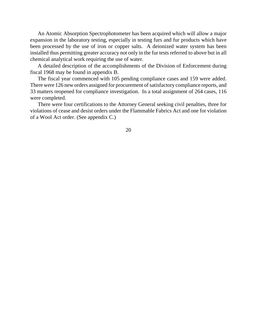An Atomic Absorption Spectrophotometer has been acquired which will allow a major expansion in the laboratory testing, especially in testing furs and fur products which have been processed by the use of iron or copper salts. A deionized water system has been installed thus permitting greater accuracy not only in the fur tests referred to above but in all chemical analytical work requiring the use of water.

A detailed description of the accomplishments of the Division of Enforcement during fiscal 1968 may be found in appendix B.

The fiscal year commenced with 105 pending compliance cases and 159 were added. There were 126 new orders assigned for procurement of satisfactory compliance reports, and 33 matters reopened for compliance investigation. In a total assignment of 264 cases, 116 were completed.

There were four certifications to the Attorney General seeking civil penalties, three for violations of cease and desist orders under the Flammable Fabrics Act and one for violation of a Wool Act order. (See appendix C.)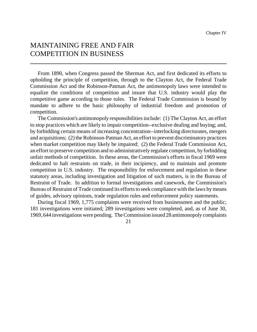# MAINTAINING FREE AND FAIR COMPETITION IN BUSINESS

From 1890, when Congress passed the Sherman Act, and first dedicated its efforts to upholding the principle of competition, through to the Clayton Act, the Federal Trade Commission Act and the Robinson-Patman Act, the antimonopoly laws were intended to equalize the conditions of competition and insure that U.S. industry would play the competitive game according to those rules. The Federal Trade Commission is bound by mandate to adhere to the basic philosophy of industrial freedom and promotion of competition.

The Commission's antimonopoly responsibilities include: (1) The Clayton Act, an effort to stop practices which are likely to impair competition--exclusive dealing and buying; and, by forbidding certain means of increasing concentration--interlocking directorates, mergers and acquisitions; (2) the Robinson-Patman Act, an effort to prevent discriminatory practices when market competition may likely be impaired; (2) the Federal Trade Commission Act, an effort to preserve competition and to administratively regulate competition, by forbidding unfair methods of competition. In these areas, the Commission's efforts in fiscal 1969 were dedicated to halt restraints on trade, in their incipiency, and to maintain and promote competition in U.S. industry. The responsibility for enforcement and regulation in these statutory areas, including investigation and litigation of such matters, is in the Bureau of Restraint of Trade. In addition to formal investigations and casework, the Commission's Bureau of Restraint of Trade continued its efforts to seek compliance with the laws by means of guides, advisory opinions, trade regulation rules and enforcement policy statements.

During fiscal 1969, 1,775 complaints were received from businessmen and the public; 181 investigations were initiated; 289 investigations were completed, and, as of June 30, 1969, 644 investigations were pending. The Commission issued 28 antimonopoly complaints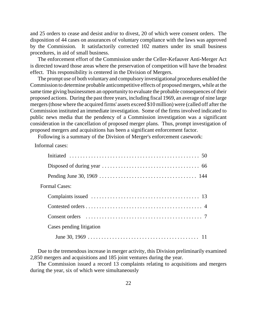and 25 orders to cease and desist and/or to divest, 20 of which were consent orders. The disposition of 44 cases on assurances of voluntary compliance with the laws was approved by the Commission. It satisfactorily corrected 102 matters under its small business procedures, in aid of small business.

The enforcement effort of the Commission under the Celler-Kefauver Anti-Merger Act is directed toward those areas where the preservation of competition will have the broadest effect. This responsibility is centered in the Division of Mergers.

The prompt use of both voluntary and compulsory investigational procedures enabled the Commission to determine probable anticompetitive effects of proposed mergers, while at the same time giving businessmen an opportunity to evaluate the probable consequences of their proposed actions. During the past three years, including fiscal 1969, an average of nine large mergers(those where the acquired firms' assets exceed \$10 million) were (called off after the Commission instituted an immediate investigation. Some of the firms involved indicated to public news media that the pendency of a Commission investigation was a significant consideration in the cancellation of proposed merger plans. Thus, prompt investigation of proposed mergers and acquisitions has been a significant enforcement factor.

Following is a summary of the Division of Merger's enforcement casework:

Informal cases:

| <b>Formal Cases:</b>     |  |
|--------------------------|--|
|                          |  |
|                          |  |
|                          |  |
| Cases pending litigation |  |
|                          |  |

Due to the tremendous increase in merger activity, this Division preliminarily examined 2,850 mergers and acquisitions and 185 joint ventures during the year.

The Commission issued a record 13 complaints relating to acquisitions and mergers during the year, six of which were simultaneously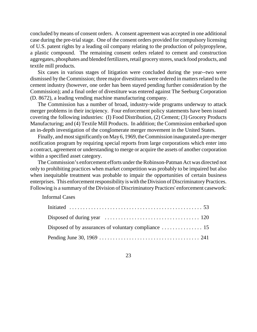concluded by means of consent orders. A consent agreement was accepted in one additional case during the pre-trial stage. One of the consent orders provided for compulsory licensing of U.S. patent rights by a leading oil company relating to the production of polypropylene, a plastic compound. The remaining consent orders related to cement and construction aggregates, phosphates and blended fertilizers, retail grocery stores, snack food products, and textile mill products.

Six cases in various stages of litigation were concluded during the year--two were dismissed by the Commission; three major divestitures were ordered in matters related to the cement industry (however, one order has been stayed pending further consideration by the Commission); and a final order of divestiture was entered against The Seeburg Corporation (D. 8672), a leading vending machine manufacturing company.

The Commission has a number of broad, industry-wide programs underway to attack merger problems in their incipiency. Four enforcement policy statements have been issued covering the following industries: (I) Food Distribution, (2) Cement; (3) Grocery Products Manufacturing; and (4) Textile Mill Products. In addition; the Commission embarked upon an in-depth investigation of the conglomerate merger movement in the United States.

Finally, and most significantly on May 6, 1969, the Commission inaugurated a pre-merger notification program by requiring special reports from large corporations which enter into a contract, agreement or understanding to merge or acquire the assets of another corporation within a specified asset category.

The Commission's enforcement efforts under the Robinson-Patman Act was directed not only to prohibiting practices when market competition was probably to be impaired but also when inequitable treatment was probable to impair the opportunities of certain business enterprises. This enforcement responsibility is with the Division of Discriminatory Practices. Following is a summary of the Division of Discriminatory Practices' enforcement casework:

Informal Cases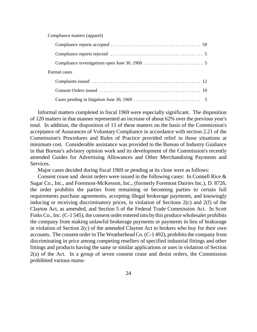Compliance matters (apparel)

| Formal cases |  |
|--------------|--|
|              |  |
|              |  |
|              |  |

Informal matters completed in fiscal 1969 were especially significant. The disposition of 120 matters in that manner represented an increase of about 62% over the previous year's total. In addition, the disposition of 15 of these matters on the basis of the Commission's acceptance of Assurances of Voluntary Compliance in accordance with section 2.21 of the Commission's Procedures and Rules of Practice provided relief in those situations at minimum cost. Considerable assistance was provided to the Bureau of Industry Guidance in that Bureau's advisory opinion work and its development of the Commission's recently amended Guides for Advertising Allowances and Other Merchandising Payments and Services.

Major cases decided during fiscal 1969 or pending at its close were as follows:

Consent cease and desist orders were issued in the following cases: In Connell Rice & Sugar Co., Inc., and Foremost-McKesson, Inc., (formerly Foremost Dairies Inc.), D. 8726, the order prohibits the parties from remaining or becoming parties to certain full requirements purchase agreements, accepting illegal brokerage payments, and knowingly inducing or receiving discriminatory prices, in violation of Sections 2(c) and 2(f) of the Clayton Act, as amended, and Section 5 of the Federal Trade Commission Act. In Scott Finks Co., Inc. (C-1 545), the consent order entered into by this produce wholesaler prohibits the company from making unlawful brokerage payments or payments in lieu of brakorage in violation of Section 2(c) of the amended Clayton Act to brokers who buy for their own accounts. The consent order in The Weatherhead Co. (C-1 492), prohibits the company from discriminating in price among competing resellers of specified industrial fittings and other fittings and products having the same or similar applications or uses in violation of Section 2(a) of the Act. In a group of seven consent cease and desist orders, the Commission prohibited various manu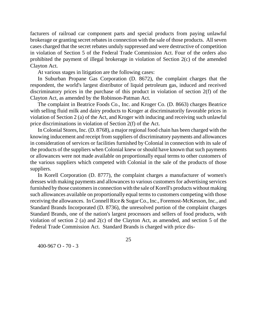facturers of railroad car component parts and special products from paying unlawful brokerage or granting secret rebates in connection with the sale of those products. All seven cases charged that the secret rebates unduly suppressed and were destructive of competition in violation of Section 5 of the Federal Trade Commission Act. Four of the orders also prohibited the payment of illegal brokerage in violation of Section 2(c) of the amended Clayton Act.

At various stages in litigation are the following cases:

In Suburban Propane Gas Corporation (D. 8672), the complaint charges that the respondent, the world's largest distributor of liquid petroleum gas, induced and received discriminatory prices in the purchase of this product in violation of section 2(f) of the Clayton Act, as amended by the Robinson-Patman Act.

The complaint in Beatrice Foods Co., Inc. and Kroger Co. (D. 8663) charges Beatrice with selling fluid milk and dairy products to Kroger at discriminatorily favorable prices in violation of Section 2 (a) of the Act, and Kroger with inducing and receiving such unlawful price discriminations in violation of Section 2(f) of the Act.

In Colonial Stores, Inc. (D. 8768), a major regional food chain has been charged with the knowing inducement and receipt from suppliers of discriminatory payments and allowances in consideration of services or facilities furnished by Colonial in connection with its sale of the products of the suppliers when Colonial knew or should have known that such payments or allowances were not made available on proportionally equal terms to other customers of the various suppliers which competed with Colonial in the sale of the products of those suppliers.

In Korell Corporation (D. 8777), the complaint charges a manufacturer of women's dresses with making payments and allowances to various customersfor advertising services furnished by those customers in connection with the sale of Korell's products without making such allowances available on proportionally equal terms to customers competing with those receiving the allowances. In Connell Rice & Sugar Co., Inc., Foremost-McKesson, Inc., and Standard Brands Incorporated (D. 8736), the unresolved portion of the complaint charges Standard Brands, one of the nation's largest processors and sellers of food products, with violation of section 2 (a) and 2(c) of the Clayton Act, as amended, and section 5 of the Federal Trade Commission Act. Standard Brands is charged with price dis-

400-967 O - 70 - 3

25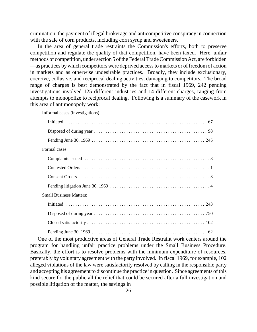crimination, the payment of illegal brokerage and anticompetitive conspiracy in connection with the sale of corn products, including corn syrup and sweeteners.

In the area of general trade restraints the Commission's efforts, both to preserve competition and regulate the quality of that competition, have been taxed. Here, unfair methods of competition, under section 5 of the Federal Trade Commission Act, are forbidden —as practices bywhich competitors were deprived accessto markets or of freedom of action in markets and as otherwise undesirable practices. Broadly, they include exclusionary, coercive, collusive, and reciprocal dealing activities, damaging to competitors. The broad range of charges is best demonstrated by the fact that in fiscal 1969, 242 pending investigations involved 125 different industries and 14 different charges, ranging from attempts to monopolize to reciprocal dealing. Following is a summary of the casework in this area of antimonopoly work:

Informal cases (investigations)

| Formal cases                   |
|--------------------------------|
|                                |
|                                |
|                                |
|                                |
| <b>Small Business Matters:</b> |
|                                |
|                                |
|                                |
|                                |

One of the most productive areas of General Trade Restraint work centers around the program for handling unfair practice problems under the Small Business Procedure. Basically, the effort is to resolve problems with the minimum expenditure of resources, preferably by voluntary agreement with the party involved. In fiscal 1969, for example, 102 alleged violations of the law were satisfactorily resolved by calling in the responsible party and accepting his agreement to discontinue the practice in question. Since agreements of this kind secure for the public all the relief that could be secured after a full investigation and possible litigation of the matter, the savings in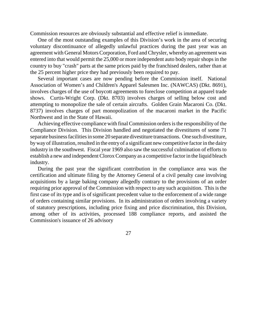Commission resources are obviously substantial and effective relief is immediate.

One of the most outstanding examples of this Division's work in the area of securing voluntary discontinuance of allegedly unlawful practices during the past year was an agreement with General Motors Corporation, Ford and Chrysler, whereby an agreement was entered into that would permit the 25,000 or more independent auto body repair shops in the country to buy "crash" parts at the same prices paid by the franchised dealers, rather than at the 25 percent higher price they had previously been required to pay.

Several important cases are now pending before the Commission itself. National Association of Women's and Children's Apparel Salesmen Inc. (NAWCAS) (Dkt. 8691), involves charges of the use of boycott agreements to foreclose competition at apparel trade shows. Curtis-Wright Corp. (Dkt. 8703) involves charges of selling below cost and attempting to monopolize the sale of certain aircrafts. Golden Grain Macaroni Co. (Dkt. 8737) involves charges of part monopolization of the macaroni market in the Pacific Northwest and in the State of Hawaii.

Achieving effective compliance with final Commission orders is the responsibility of the Compliance Division. This Division handled and negotiated the divestitures of some 71 separate business facilities in some 20 separate divestiture transactions. One such divestiture, by way of illustration, resulted in the entry of a significant new competitive factor in the dairy industry in the southwest. Fiscal year 1969 also saw the successful culmination of efforts to establish a new and independent CloroxCompany as a competitive factorin the liquid bleach industry.

During the past year the significant contribution in the compliance area was the certification and ultimate filing by the Attorney General of a civil penalty case involving acquisitions by a large baking company allegedly contrary to the provisions of an order requiring prior approval of the Commission with respect to any such acquisition. This is the first case of its type and is of significant precedent value to the enforcement of a wide range of orders containing similar provisions. In its administration of orders involving a variety of statutory prescriptions, including price fixing and price discrimination, this Division, among other of its activities, processed 188 compliance reports, and assisted the Commission's issuance of 26 advisory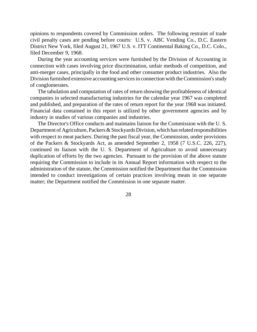opinions to respondents covered by Commission orders. The following restraint of trade civil penalty cases are pending before courts: U.S. v. ABC Vending Co., D.C. Eastern District New York, filed August 21, 1967 U.S. v. ITT Continental Baking Co., D.C. Colo., filed December 9, 1968.

During the year accounting services were furnished by the Division of Accounting in connection with cases involving price discrimination, unfair methods of competition, and anti-merger cases, principally in the food and other consumer product industries. Also the Division furnished extensive accounting services in connection with the Commission's study of conglomerates.

The tabulation and computation of rates of return showing the profitableness of identical companies in selected manufacturing industries for the calendar year 1967 was completed and published, and preparation of the rates of return report for the year 1968 was initiated. Financial data contained in this report is utilized by other government agencies and by industry in studies of various companies and industries.

The Director's Office conducts and maintains liaison for the Commission with the U. S. Department of Agriculture, Packers & Stockyards Division, which has related responsibilities with respect to meat packers. During the past fiscal year, the Commission, under provisions of the Packers & Stockyards Act, as amended September 2, 1958 (7 U.S.C. 226, 227), continued its liaison with the U. S. Department of Agriculture to avoid unnecessary duplication of efforts by the two agencies. Pursuant to the provision of the above statute requiring the Commission to include in its Annual Report information with respect to the administration of the statute, the Commission notified the Department that the Commission intended to conduct investigations of certain practices involving meats in one separate matter; the Department notified the Commission in one separate matter.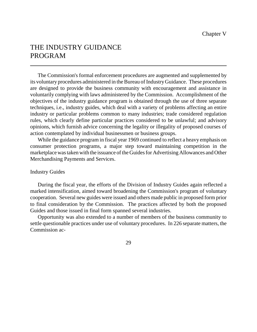# THE INDUSTRY GUIDANCE PROGRAM

The Commission's formal enforcement procedures are augmented and supplemented by its voluntary procedures administered in the Bureau of Industry Guidance. These procedures are designed to provide the business community with encouragement and assistance in voluntarily complying with laws administered by the Commission. Accomplishment of the objectives of the industry guidance program is obtained through the use of three separate techniques, i.e., industry guides, which deal with a variety of problems affecting an entire industry or particular problems common to many industries; trade considered regulation rules, which clearly define particular practices considered to be unlawful; and advisory opinions, which furnish advice concerning the legality or illegality of proposed courses of action contemplated by individual businessmen or business groups.

While the guidance program in fiscal year 1969 continued to reflect a heavy emphasis on consumer protection programs, a major step toward maintaining competition in the marketplace was taken with the issuance of the Guides for Advertising Allowances and Other Merchandising Payments and Services.

#### Industry Guides

During the fiscal year, the efforts of the Division of Industry Guides again reflected a marked intensification, aimed toward broadening the Commission's program of voluntary cooperation. Several new guides were issued and others made public in proposed form prior to final consideration by the Commission. The practices affected by both the proposed Guides and those issued in final form spanned several industries.

Opportunity was also extended to a number of members of the business community to settle questionable practices under use of voluntary procedures. In 226 separate matters, the Commission ac-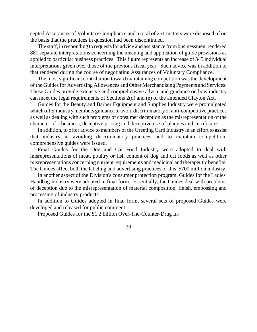cepted Assurances of Voluntary Compliance and a total of 261 matters were disposed of on the basis that the practices in question had been discontinued.

The staff, in responding to requests for advice and assistance from businessmen, rendered 881 separate interpretations concerning the meaning and application of guide provisions as applied to particular business practices. This figure represents an increase of 345 individual interpretations given over those of the previous fiscal year. Such advice was in addition to that rendered during the course of negotiating Assurances of Voluntary Compliance.

The most significant contribution toward maintaining competition was the development of the Guides for Advertising Allowances and Other Merchandising Payments and Services. These Guides provide extensive and comprehensive advice and guidance on how industry can meet the legal requirements of Sections 2(d) and (e) of the amended Clayton Act.

Guides for the Beauty and Barber Equipment and Supplies Industry were promulgated which offerindustry members guidance to avoid discriminatory or anti-competitive practices as well as dealing with such problems of consumer deception as the misrepresentation of the character of a business, deceptive pricing and deceptive use of plaques and certificates.

In addition, to offer advice to members of the Greeting Card Industry in an effort to assist that industry in avoiding discriminatory practices and to maintain competition, comprehensive guides were issued.

Final Guides for the Dog and Cat Food Industry were adopted to deal with misrepresentations of meat, poultry or fish content of dog and cat foods as well as other misrepresentations concerning nutrient requirements and medicinal and therapeutic benefits. The Guides affect both the labeling and advertising practices of this \$700 million industry.

In another aspect of the Division's consumer protection program, Guides for the Ladies' Handbag Industry were adopted in final form. Essentially, the Guides deal with problems of deception due to the misrepresentation of material composition, finish, embossing and processing of industry products.

In addition to Guides adopted in final form, several sets of proposed Guides were developed and released for public comment.

Proposed Guides for the \$1.2 billion Over-The-Counter-Drug In-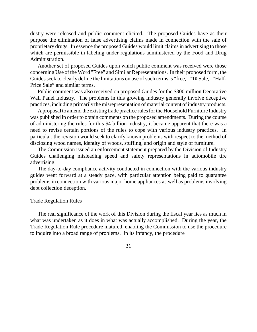dustry were released and public comment elicited. The proposed Guides have as their purpose the elimination of false advertising claims made in connection with the sale of proprietary drugs. In essence the proposed Guides would limit claims in advertising to those which are permissible in labeling under regulations administered by the Food and Drug Administration.

Another set of proposed Guides upon which public comment was received were those concerning Use of the Word "Free" and Similar Representations. In their proposed form, the Guides seek to clearly define the limitations on use of such terms is "free," " $1¢$  Sale," "Half-Price Sale" and similar terms.

Public comment was also received on proposed Guides for the \$300 million Decorative Wall Panel Industry. The problems in this growing industry generally involve deceptive practices, including primarily the misrepresentation of material content of industry products.

A proposal to amend the existing trade practice rules for the Household Furniture Industry was published in order to obtain comments on the proposed amendments. During the course of administering the rules for this \$4 billion industry, it became apparent that there was a need to revise certain portions of the rules to cope with various industry practices. In particular, the revision would seek to clarify known problems with respect to the method of disclosing wood names, identity of woods, stuffing, and origin and style of furniture.

The Commission issued an enforcement statement prepared by the Division of Industry Guides challenging misleading speed and safety representations in automobile tire advertising.

The day-to-day compliance activity conducted in connection with the various industry guides went forward at a steady pace, with particular attention being paid to guarantee problems in connection with various major home appliances as well as problems involving debt collection deception.

#### Trade Regulation Rules

The real significance of the work of this Division during the fiscal year lies as much in what was undertaken as it does in what was actually accomplished. During the year, the Trade Regulation Rule procedure matured, enabling the Commission to use the procedure to inquire into a broad range of problems. In its infancy, the procedure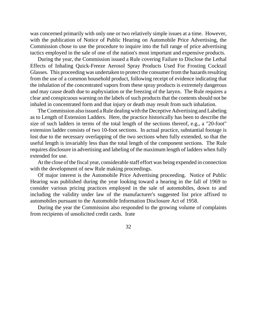was concerned primarily with only one or two relatively simple issues at a time. However, with the publication of Notice of Public Hearing on Automobile Price Advertising, the Commission chose to use the procedure to inquire into the full range of price advertising tactics employed in the sale of one of the nation's most important and expensive products.

During the year, the Commission issued a Rule covering Failure to Disclose the Lethal Effects of Inhaling Quick-Freeze Aerosol Spray Products Used For Frosting Cocktail Glasses. This proceeding was undertaken to protect the consumer from the hazards resulting from the use of a common household product, following receipt of evidence indicating that the inhalation of the concentrated vapors from these spray products is extremely dangerous and may cause death due to asphyxiation or the freezing of the larynx. The Rule requires a clear and conspicuous warning on the labels of such products that the contents should not be inhaled in concentrated form and that injury or death may result from such inhalation.

The Commission also issued a Rule dealing with the Deceptive Advertising and Labeling as to Length of Extension Ladders. Here, the practice historically has been to describe the size of such ladders in terms of the total length of the sections thereof, e.g., a "20-foot" extension ladder consists of two 10-foot sections. In actual practice, substantial footage is lost due to the necessary overlapping of the two sections when fully extended, so that the useful length is invariably less than the total length of the component sections. The Rule requires disclosure in advertising and labeling of the maximum length of ladders when fully extended for use.

At the close of the fiscal year, considerable staff effort was being expended in connection with the development of new Rule making proceedings.

Of major interest is the Automobile Price Advertising proceeding. Notice of Public Hearing was published during the year looking toward a hearing in the fall of 1969 to consider various pricing practices employed in the sale of automobiles, down to and including the validity under law of the manufacturer's suggested list price affixed to automobiles pursuant to the Automobile Information Disclosure Act of 1958.

During the year the Commission also responded to the growing volume of complaints from recipients of unsolicited credit cards. Irate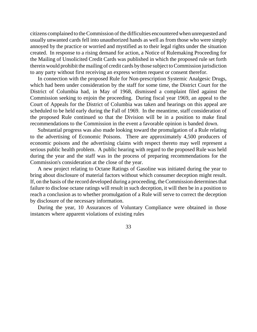citizens complained to the Commission of the difficulties encountered when unrequested and usually unwanted cards fell into unauthorized hands as well as from those who were simply annoyed by the practice or worried and mystified as to their legal rights under the situation created. In response to a rising demand for action, a Notice of Rulemaking Proceeding for the Mailing of Unsolicited Credit Cards was published in which the proposed rule set forth therein would prohibit the mailing of credit cards by those subject to Commission jurisdiction to any party without first receiving an express written request or consent therefor.

In connection with the proposed Rule for Non-prescription Systemic Analgesic Drugs, which had been under consideration by the staff for some time, the District Court for the District of Columbia had, in May of 1968, dismissed a complaint filed against the Commission seeking to enjoin the proceeding. During fiscal year 1969, an appeal to the Court of Appeals for the District of Columbia was taken and hearings on this appeal are scheduled to be held early during the Fall of 1969. In the meantime, staff consideration of the proposed Rule continued so that the Division will be in a position to make final recommendations to the Commission in the event a favorable opinion is banded down.

Substantial progress was also made looking toward the promulgation of a Rule relating to the advertising of Economic Poisons. There are approximately 4,500 producers of economic poisons and the advertising claims with respect thereto may well represent a serious public health problem. A public hearing with regard to the proposed Rule was held during the year and the staff was in the process of preparing recommendations for the Commission's consideration at the close of the year.

A new project relating to Octane Ratings of Gasoline was initiated during the year to bring about disclosure of material factors without which consumer deception might result. If, on the basis of the record developed during a proceeding, the Commission determines that failure to disclose octane ratings will result in such deception, it will then be in a position to reach a conclusion as to whether promulgation of a Rule will serve to correct the deception by disclosure of the necessary information.

During the year, 10 Assurances of Voluntary Compliance were obtained in those instances where apparent violations of existing rules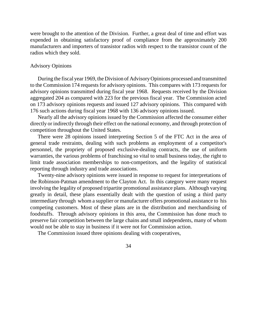were brought to the attention of the Division. Further, a great deal of time and effort was expended in obtaining satisfactory proof of compliance from the approximately 200 manufacturers and importers of transistor radios with respect to the transistor count of the radios which they sold.

#### Advisory Opinions

During the fiscal year 1969, the Division of AdvisoryOpinions processed and transmitted to the Commission 174 requests for advisory opinions. This compares with 173 requests for advisory opinions transmitted during fiscal year 1968. Requests received by the Division aggregated 204 as compared with 223 for the previous fiscal year. The Commission acted on 173 advisory opinions requests and issued 127 advisory opinions. This compared with 176 such actions during fiscal year 1968 with 136 advisory opinions issued.

Nearly all the advisory opinions issued by the Commission affected the consumer either directly or indirectly through their effect on the national economy, and through protection of competition throughout the United States.

There were 28 opinions issued interpreting Section 5 of the FTC Act in the area of general trade restraints, dealing with such problems as employment of a competitor's personnel, the propriety of proposed exclusive-dealing contracts, the use of uniform warranties, the various problems of franchising so vital to small business today, the right to limit trade association memberships to non-competitors, and the legality of statistical reporting through industry and trade associations.

Twenty-nine advisory opinions were issued in response to request for interpretations of the Robinson-Patman amendment to the Clayton Act. In this category were many request involving the legality of proposed tripartite promotional assistance plans. Although varying greatly in detail, these plans essentially dealt with the question of using a third party intermediary through whom a supplier or manufacturer offers promotional assistance to his competing customers. Most of these plans are in the distribution and merchandising of foodstuffs. Through advisory opinions in this area, the Commission has done much to preserve fair competition between the large chains and small independents, many of whom would not be able to stay in business if it were not for Commission action.

The Commission issued three opinions dealing with cooperatives,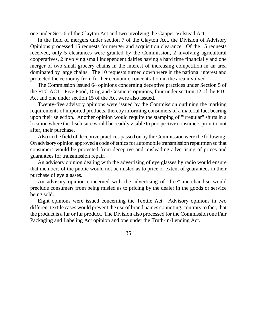one under Sec. 6 of the Clayton Act and two involving the Capper-Volstead Act.

In the field of mergers under section 7 of the Clayton Act, the Division of Advisory Opinions processed 15 requests for merger and acquisition clearance. Of the 15 requests received, only 5 clearances were granted by the Commission, 2 involving agricultural cooperatives, 2 involving small independent dairies having a hard time financially and one merger of two small grocery chains in the interest of increasing competition in an area dominated by large chains. The 10 requests turned down were in the national interest and protected the economy from further economic concentration in the area involved.

The Commission issued 64 opinions concerning deceptive practices under Section 5 of the FTC ACT. Five Food, Drug and Cosmetic opinions, four under section 12 of the FTC Act and one under section 15 of the Act were also issued.

Twenty-five advisory opinions were issued by the Commission outlining the marking requirements of imported products, thereby informing consumers of a material fact bearing upon their selection. Another opinion would require the stamping of "irregular" shirts in a location where the disclosure would be readily visible to prospective consumers prior to, not after, their purchase.

Also in the field of deceptive practices passed on by the Commission were the following: On advisory opinion approved a code of ethics for automobile transmission repairmen so that consumers would be protected from deceptive and misleading advertising of prices and guarantees for transmission repair.

An advisory opinion dealing with the advertising of eye glasses by radio would ensure that members of the public would not be misled as to price or extent of guarantees in their purchase of eye glasses.

An advisory opinion concerned with the advertising of "free" merchandise would preclude consumers from being misled as to pricing by the dealer in the goods or service being sold.

Eight opinions were issued concerning the Textile Act. Advisory opinions in two different textile cases would prevent the use of brand names connoting, contrary to fact, that the product is a fur or fur product. The Division also processed for the Commission one Fair Packaging and Labeling Act opinion and one under the Truth-in-Lending Act.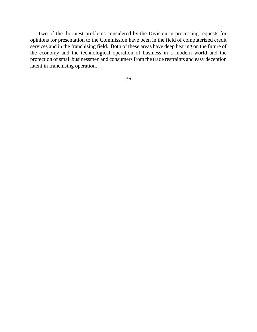Two of the thorniest problems considered by the Division in processing requests for opinions for presentation to the Commission have been in the field of computerized credit services and in the franchising field. Both of these areas have deep bearing on the future of the economy and the technological operation of business in a modern world and the protection of small businessmen and consumersfrom the trade restraints and easy deception latent in franchising operation.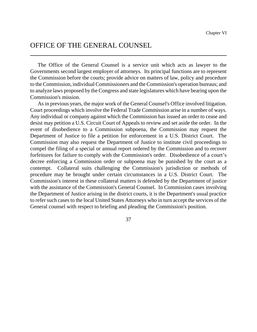# OFFICE OF THE GENERAL COUNSEL

The Office of the General Counsel is a service unit which acts as lawyer to the Governments second largest employer of attorneys. Its principal functions are to represent the Commission before the courts; provide advice on matters of law, policy and procedure to theCommission, individualCommissioners and theCommission's operation bureaus; and to analyze laws proposed by the Congress and state legislatures which have bearing upon the Commission's mission.

As in previous years, the major work of the General Counsel's Office involved litigation. Court proceedings which involve the Federal Trade Commission arise in a number of ways. Any individual or company against which the Commission has issued an order to cease and desist may petition a U.S. Circuit Court of Appeals to review and set aside the order. In the event of disobedience to a Commission subpoena, the Commission may request the Department of Justice to file a petition for enforcement in a U.S. District Court. The Commission may also request the Department of Justice to institute civil proceedings to compel the filing of a special or annual report ordered by the Commission and to recover forfeitures for failure to comply with the Commission's order. Disobedience of a court's decree enforcing a Commission order or subpoena may be punished by the court as a contempt. Collateral suits challenging the Commission's jurisdiction or methods of procedure may be brought under certain circumstances in a U.S. District Court. The Commission's interest in these collateral matters is defended by the Department of justice with the assistance of the Commission's General Counsel. In Commission cases involving the Department of Justice arising in the district courts, it is the Department's usual practice to refer such cases to the local United States Attorneys who in turn accept the services of the General counsel with respect to briefing and pleading the Commission's position.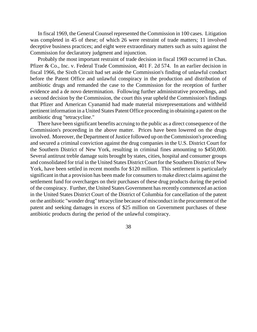In fiscal 1969, the General Counsel represented the Commission in 100 cases. Litigation was completed in 45 of these; of which 26 were restraint of trade matters; 11 involved deceptive business practices; and eight were extraordinary matters such as suits against the Commission for declaratory judgment and injunction.

Probably the most important restraint of trade decision in fiscal 1969 occurred in Chas. Pfizer & Co., Inc. v. Federal Trade Commission, 401 F. 2d 574. In an earlier decision in fiscal 1966, the Sixth Circuit had set aside the Commission's finding of unlawful conduct before the Patent Office and unlawful conspiracy in the production and distribution of antibiotic drugs and remanded the case to the Commission for the reception of further evidence and a de novo determination. Following further administrative proceedings, and a second decision by the Commission, the court this year upheld the Commission's findings that Pfizer and American Cyanamid had made material misrepresentations and withheld pertinent information in a United States Patent Office proceeding in obtaining a patent on the antibiotic drug "tetracycline."

There have been significant benefits accruing to the public as a direct consequence of the Commission's proceeding in the above matter. Prices have been lowered on the drugs involved. Moreover, the Department of Justice followed up on the Commission's proceeding and secured a criminal conviction against the drug companies in the U.S. District Court for the Southern District of New York, resulting in criminal fines amounting to \$450,000. Several antitrust treble damage suits brought by states, cities, hospital and consumer groups and consolidated for trial in the United States District Court for the Southern District of New York, have been settled in recent months for \$120 million. This settlement is particularly significant in that a provision has been made for consumersto make direct claims against the settlement fund for overcharges on their purchases of these drug products during the period of the conspiracy. Further, the United States Government has recently commenced an action in the United States District Court of the District of Columbia for cancellation of the patent on the antibiotic "wonder drug" tetracycline because of misconduct in the procurement of the patent and seeking damages in excess of \$25 million on Government purchases of these antibiotic products during the period of the unlawful conspiracy.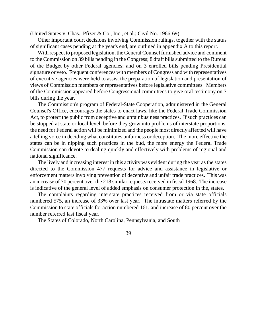(United States v. Chas. Pfizer & Co., Inc., et al.; Civil No. 1966-69).

Other important court decisions involving Commission rulings, together with the status of significant cases pending at the year's end, are outlined in appendix A to this report.

With respect to proposed legislation, the General Counsel furnished advice and comment to the Commission on 39 bills pending in the Congress; 8 draft bills submitted to the Bureau of the Budget by other Federal agencies; and on 3 enrolled bills pending Presidential signature or veto. Frequent conferences with members of Congress and with representatives of executive agencies were held to assist the preparation of legislation and presentation of views of Commission members or representatives before legislative committees. Members of the Commission appeared before Congressional committees to give oral testimony on 7 bills during the year.

The Commission's program of Federal-State Cooperation, administered in the General Counsel's Office, encourages the states to enact laws, like the Federal Trade Commission Act, to protect the public from deceptive and unfair business practices. If such practices can be stopped at state or local level, before they grow into problems of interstate proportions, the need for Federal action will be minimized and the people most directly affected will have a telling voice in deciding what constitutes unfairness or deception. The more effective the states can be in nipping such practices in the bud, the more energy the Federal Trade Commission can devote to dealing quickly and effectively with problems of regional and national significance.

The lively and increasing interest in this activity was evident during the year as the states directed to the Commission 477 requests for advice and assistance in legislative or enforcement matters involving prevention of deceptive and unfair trade practices. This was an increase of 70 percent over the 218 similar requests received in fiscal 1968. The increase is indicative of the general level of added emphasis on consumer protection in the, states.

The complaints regarding interstate practices received from or via state officials numbered 575, an increase of 33% over last year. The intrastate matters referred by the Commission to state officials for action numbered 161, and increase of 80 percent over the number referred last fiscal year.

The States of Colorado, North Carolina, Pennsylvania, and South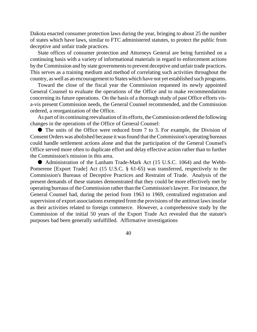Dakota enacted consumer protection laws during the year, bringing to about 25 the number of states which have laws, similar to FTC administered statutes, to protect the public from deceptive and unfair trade practices.

State offices of consumer protection and Attorneys General are being furnished on a continuing basis with a variety of informational materials in regard to enforcement actions by the Commission and by state governments to prevent deceptive and unfair trade practices. This serves as a training medium and method of correlating such activities throughout the country, as well as an encouragement to States which have not yet established such programs.

Toward the close of the fiscal year the Commission requested its newly appointed General Counsel to evaluate the operations of the Office and to make recommendations concerning its future operations. On the basis of a thorough study of past Office efforts visa-vis present Commission needs, the General Counsel recommended, and the Commission ordered, a reorganization of the Office.

As part of its continuing reevaluation of its efforts, the Commission ordered the following changes in the operations of the Office of General Counsel:

• The units of the Office were reduced from 7 to 3. For example, the Division of Consent Orders was abolished because it wasfound that theCommission's operating bureaus could handle settlement actions alone and that the participation of the General Counsel's Office served more often to duplicate effort and delay effective action rather than to further the Commission's mission in this area.

é Administration of the Lanham Trade-Mark Act (15 U.S.C. 1064) and the Webb-Pomerene [Export Trade] Act (15 U.S.C. § 61-65) was transferred, respectively to the Commission's Bureaus of Deceptive Practices and Restraint of Trade. Analysis of the present demands of these statutes demonstrated that they could be more effectively met by operating bureaus of theCommission rather than theCommission'slawyer. For instance, the General Counsel had, during the period from 1963 to 1969, centralized registration and supervision of export associations exempted from the provisions of the antitrust lawsinsofar as their activities related to foreign commerce. However, a comprehensive study by the Commission of the initial 50 years of the Export Trade Act revealed that the statute's purposes bad been generally unfulfilled. Affirmative investigations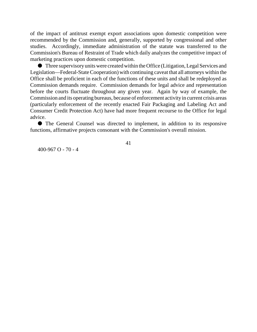of the impact of antitrust exempt export associations upon domestic competition were recommended by the Commission and, generally, supported by congressional and other studies. Accordingly, immediate administration of the statute was transferred to the Commission's Bureau of Restraint of Trade which daily analyzes the competitive impact of marketing practices upon domestic competition.

é Three supervisoryunits were created within the Office (Litigation, Legal Services and Legislation—Federal-State Cooperation) with continuing caveat that all attorneys within the Office shall be proficient in each of the functions of these units and shall be redeployed as Commission demands require. Commission demands for legal advice and representation before the courts fluctuate throughout any given year. Again by way of example, the Commission and its operating bureaus, because of enforcement activity in current crisis areas (particularly enforcement of the recently enacted Fair Packaging and Labeling Act and Consumer Credit Protection Act) have had more frequent recourse to the Office for legal advice.

é The General Counsel was directed to implement, in addition to its responsive functions, affirmative projects consonant with the Commission's overall mission.

400-967 O - 70 - 4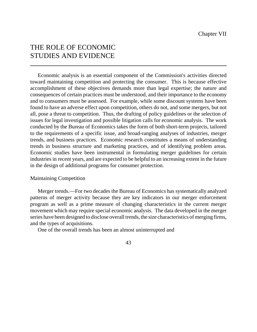# THE ROLE OF ECONOMIC STUDIES AND EVIDENCE

Economic analysis is an essential component of the Commission's activities directed toward maintaining competition and protecting the consumer. This is because effective accomplishment of these objectives demands more than legal expertise; the nature and consequences of certain practices must be understood, and their importance to the economy and to consumers must be assessed. For example, while some discount systems have been found to have an adverse effect upon competition, others do not, and some mergers, but not all, pose a threat to competition. Thus, the drafting of policy guidelines or the selection of issues for legal investigation and possible litigation calls for economic analysis. The work conducted by the Bureau of Economics takes the form of both short-term projects, tailored to the requirements of a specific issue, and broad-ranging analyses of industries, merger trends, and business practices. Economic research constitutes a means of understanding trends in business structure and marketing practices, and of identifying problem areas. Economic studies have been instrumental in formulating merger guidelines for certain industries in recent years, and are expected to be helpful to an increasing extent in the future in the design of additional programs for consumer protection.

### Maintaining Competition

Merger trends.—For two decades the Bureau of Economics has systematically analyzed patterns of merger activity because they are key indicators in our merger enforcement program as well as a prime measure of changing characteristics in the current merger movement which may require special economic analysis. The data developed in the merger series have been designed to disclose overall trends, the size characteristics of merging firms, and the types of acquisitions.

One of the overall trends has been an almost uninterrupted and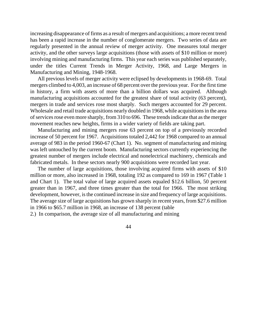increasing disappearance of firms as a result of mergers and acquisitions; a more recent trend has been a rapid increase in the number of conglomerate mergers. Two series of data are regularly presented in the annual review of merger activity. One measures total merger activity, and the other surveys large acquisitions (those with assets of \$10 million or more) involving mining and manufacturing firms. This year each series was published separately, under the titles Current Trends in Merger Activity, 1968, and Large Mergers in Manufacturing and Mining, 1948-1968.

All previous levels of merger activity were eclipsed by developments in 1968-69. Total mergers climbed to 4,003, an increase of 68 percent over the previous year. For the first time in history, a firm with assets of more than a billion dollars was acquired. Although manufacturing acquisitions accounted for the greatest share of total activity (63 percent), mergers in trade and services rose most sharply. Such mergers accounted for 29 percent. Wholesale and retail trade acquisitions nearly doubled in 1968, while acquisitions in the area of services rose even more sharply, from 310 to 696. These trends indicate that as the merger movement reaches new heights, firms in a wider variety of fields are taking part.

Manufacturing and mining mergers rose 63 percent on top of a previously recorded increase of 50 percent for 1967. Acquisitions totaled 2,442 for 1968 compared to an annual average of 983 in the period 1960-67 (Chart 1). No. segment of manufacturing and mining was left untouched by the current boom. Manufacturing sectors currently experiencing the greatest number of mergers include electrical and nonelectrical machinery, chemicals and fabricated metals. In these sectors nearly 900 acquisitions were recorded last year.

The number of large acquisitions, those involving acquired firms with assets of \$10 million or more, also increased in 1968, totaling 192 as compared to 169 in 1967 (Table 1 and Chart 1). The total value of large acquired assets equaled \$12.6 billion, 50 percent greater than in 1967, and three times greater than the total for 1966. The most striking development, however, is the continued increase in size and frequency of large acquisitions. The average size of large acquisitions has grown sharply in recent years, from \$27.6 million in 1966 to \$65.7 million in 1968, an increase of 138 percent (table

2.) In comparison, the average size of all manufacturing and mining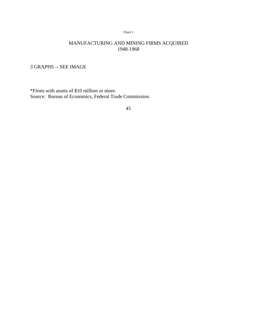#### Chart 1

## MANUFACTURING AND MINING FIRMS ACQUIRED 1948-1968

3 GRAPHS -- SEE IMAGE

\*Firms with assets of \$10 million or more. Source: Bureau of Economics, Federal Trade Commission.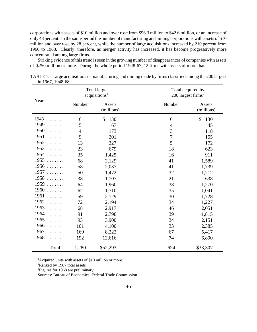corporations with assets of \$10 million and over rose from \$96.3 million to \$42.6 million, or an increase of only 48 percent. In the same period the number of manufacturing and mining corporations with assets of \$10 million and over rose by 28 percent, while the number of large acquisitions increased by 210 percent from 1960 to 1968. Clearly, therefore, as merger activity has increased, it has become progressively more concentrated among large firms.

Striking evidence of this trend is seen in the growing number of disappearances of companies with assets of \$250 million or more. During the whole period 1948-67, 12 firms with assets of more than

|                                                                                                                                                                                                                                                                                                                                                                                              |                | <b>Total large</b><br>acquisitions <sup>1</sup> |                | Total acquired by<br>$200$ largest firms <sup>2</sup> |  |  |  |
|----------------------------------------------------------------------------------------------------------------------------------------------------------------------------------------------------------------------------------------------------------------------------------------------------------------------------------------------------------------------------------------------|----------------|-------------------------------------------------|----------------|-------------------------------------------------------|--|--|--|
| Year                                                                                                                                                                                                                                                                                                                                                                                         | Number         | Assets<br>(millions)                            | Number         | Assets<br>(millions)                                  |  |  |  |
| 1948                                                                                                                                                                                                                                                                                                                                                                                         | 6              | \$<br>130                                       | 6              | \$<br>130                                             |  |  |  |
| 1949                                                                                                                                                                                                                                                                                                                                                                                         | 5              | 67                                              | $\overline{4}$ | 45                                                    |  |  |  |
| 1950                                                                                                                                                                                                                                                                                                                                                                                         | $\overline{4}$ | 173                                             | 3              | 118                                                   |  |  |  |
| 1951                                                                                                                                                                                                                                                                                                                                                                                         | 9              | 201                                             | $\overline{7}$ | 155                                                   |  |  |  |
| 1952                                                                                                                                                                                                                                                                                                                                                                                         | 13             | 327                                             | 5              | 172                                                   |  |  |  |
| 1953<br>.                                                                                                                                                                                                                                                                                                                                                                                    | 23             | 679                                             | 18             | 623                                                   |  |  |  |
| 1954<br>$\cdot$ $\cdot$ $\cdot$ $\cdot$ $\cdot$ $\cdot$                                                                                                                                                                                                                                                                                                                                      | 35             | 1,425                                           | 16             | 911                                                   |  |  |  |
| 1955<br>.                                                                                                                                                                                                                                                                                                                                                                                    | 68             | 2,129                                           | 41             | 1,589                                                 |  |  |  |
| 1956<br>.                                                                                                                                                                                                                                                                                                                                                                                    | 58             | 2,037                                           | 41             | 1,739                                                 |  |  |  |
| 1957<br>$\cdot$                                                                                                                                                                                                                                                                                                                                                                              | 50             | 1,472                                           | 32             | 1,212                                                 |  |  |  |
| 1958<br>.                                                                                                                                                                                                                                                                                                                                                                                    | 38             | 1,107                                           | 21             | 638                                                   |  |  |  |
| 1959<br>.                                                                                                                                                                                                                                                                                                                                                                                    | 64             | 1,960                                           | 38             | 1,270                                                 |  |  |  |
| 1960<br>$\cdot$                                                                                                                                                                                                                                                                                                                                                                              | 62             | 1,710                                           | 35             | 1,041                                                 |  |  |  |
| 1961<br>$\cdot$                                                                                                                                                                                                                                                                                                                                                                              | 59             | 2,129                                           | 30             | 1,728                                                 |  |  |  |
| 1962<br>.                                                                                                                                                                                                                                                                                                                                                                                    | 72             | 2,194                                           | 34             | 1,227                                                 |  |  |  |
| 1963<br>.                                                                                                                                                                                                                                                                                                                                                                                    | 68             | 2,917                                           | 46             | 2,051                                                 |  |  |  |
| 1964<br>$\overline{1}$                                                                                                                                                                                                                                                                                                                                                                       | 91             | 2,798                                           | 39             | 1,815                                                 |  |  |  |
| 1965                                                                                                                                                                                                                                                                                                                                                                                         | 93             | 3,900                                           | 34             | 2,151                                                 |  |  |  |
| 1966<br>.                                                                                                                                                                                                                                                                                                                                                                                    | 101            | 4,100                                           | 33             | 2,385                                                 |  |  |  |
| 1967<br>$\overline{1}$ $\overline{1}$ $\overline{1}$ $\overline{1}$ $\overline{1}$ $\overline{1}$ $\overline{1}$ $\overline{1}$ $\overline{1}$ $\overline{1}$ $\overline{1}$ $\overline{1}$ $\overline{1}$ $\overline{1}$ $\overline{1}$ $\overline{1}$ $\overline{1}$ $\overline{1}$ $\overline{1}$ $\overline{1}$ $\overline{1}$ $\overline{1}$ $\overline{1}$ $\overline{1}$ $\overline{$ | 169            | 8,222                                           | 67             | 5,417                                                 |  |  |  |
| $1968^3$                                                                                                                                                                                                                                                                                                                                                                                     | 192            | 12,616                                          | 74             | 6,890                                                 |  |  |  |
| Total                                                                                                                                                                                                                                                                                                                                                                                        | 1,280          | \$52,293                                        | 624            | \$33,307                                              |  |  |  |

TABLE 1.--Large acquisitions in manufacturing and mining made by firms classified among the 200 largest in 1967, 1948-68

<sup>1</sup>Acquired units with assets of \$10 million or more.

<sup>2</sup>Ranked by 1967 total assets.

<sup>3</sup>Figures for 1968 are preliminary.

Sources: Bureau of Economics, Federal Trade Commission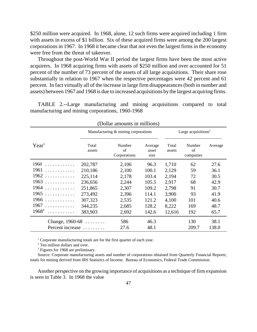\$250 million were acquired. In 1968, alone, 12 such firms were acquired including 1 firm with assets in excess of \$1 billion. Six of these acquired firms were among the 200 largest corporations in 1967. In 1968 it became clear that not even the largest firms in the economy were free from the threat of takeover.

Throughout the post-World War II period the largest firms have been the most active acquirers. In 1968 acquiring firms with assets of \$250 million and over accounted for 51 percent of the number of 73 percent of the assets of all large acquisitions. Their share rose substantially in relation to 1967 when the respective percentages were 42 percent and 61 percent. In fact virtually all of the increase in large firm disappearances (both in number and assets) between 1967 and 1968 is due to increased acquisitions by the largest acquiring firms.

TABLE 2.--Large manufacturing and mining acquisitions compared to total manufacturing and mining corporations, 1960-1968

|                   |                                     | (Dollar amounts in millions) |                          |                                 |                           |         |  |
|-------------------|-------------------------------------|------------------------------|--------------------------|---------------------------------|---------------------------|---------|--|
|                   | Manufacturing & mining corporations |                              |                          | Large acquisitions <sup>2</sup> |                           |         |  |
| Year <sup>1</sup> | Total<br>assets                     | Number<br>of<br>Corporations | Average<br>asset<br>size | Total<br>assets                 | Number<br>of<br>companies | Average |  |
| 1960<br>.         | 202,787                             | 2,106                        | 96.3                     | 1,710                           | 62                        | 27.6    |  |
| 1961<br>.         | 210,186                             | 2,100                        | 100.1                    | 2,129                           | 59                        | 36.1    |  |
| 1962<br>.         | 225,114                             | 2,178                        | 103.4                    | 2,194                           | 72                        | 30.5    |  |
| 1963<br>.         | 236,656                             | 2,244                        | 105.5                    | 2,917                           | 68                        | 42.9    |  |
| 1964<br>.         | 251,865                             | 2,307                        | 109.2                    | 2,798                           | 91                        | 30.7    |  |
| $1965$            | 273,492                             | 2,396                        | 114.1                    | 3,900                           | 93                        | 41.9    |  |
| 1966<br>.         | 307,323                             | 2,535                        | 121.2                    | 4,100                           | 101                       | 40.6    |  |
| $1967$            | 344,235                             | 2,685                        | 128.2                    | 8,222                           | 169                       | 48.7    |  |
| $1968^3$<br>.     | 383,903                             | 2,692                        | 142.6                    | 12,616                          | 192                       | 65.7    |  |
| Change, $1960-68$ |                                     | 586                          | 46.3                     |                                 | 130                       | 38.1    |  |
| Percent increase  |                                     | 27.6                         | 48.1                     |                                 | 209.7                     | 138.0   |  |

<sup>1</sup> Corporate manufacturing totals are for the first quarter of each year.

<sup>2</sup> Ten million dollars and over.

<sup>3</sup> Figures for 1968 are preliminary.

Source: Corporate manufacturing assets and number of corporations obtained from Quarterly Financial Reports; totals for mining derived from IRS Statistics of Income. Bureau of Economics, Federal Trade Commission.

Another perspective on the growing importance of acquisitions as a technique of firm expansion is seen in Table 3. In 1968 the value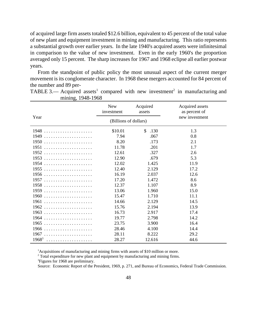of acquired large firm assets totaled \$12.6 billion, equivalent to 45 percent of the total value of new plant and equipment investment in mining and manufacturing. This ratio represents a substantial growth over earlier years. In the late 1940's acquired assets were infinitesimal in comparison to the value of new investment. Even in the early 1960's the proportion averaged only 15 percent. The sharp increases for 1967 and 1968 eclipse all earlier postwar years.

From the standpoint of public policy the most unusual aspect of the current merger movement is its conglomerate character. In 1968 these mergers accounted for 84 percent of the number and 89 per-

|          | <b>New</b><br>investment | Acquired<br>assets    | Acquired assets<br>as percent of |  |  |
|----------|--------------------------|-----------------------|----------------------------------|--|--|
| Year     | (Billions of dollars)    |                       | new investment                   |  |  |
| 1948     | \$10.01                  | $\mathcal{S}$<br>.130 | 1.3                              |  |  |
|          | 7.94                     | .067                  | 0.8                              |  |  |
|          | 8.20                     | .173                  | 2.1                              |  |  |
|          | 11.78                    | .201                  | 1.7                              |  |  |
|          | 12.61                    | .327                  | 2.6                              |  |  |
|          | 12.90                    | .679                  | 5.3                              |  |  |
|          | 12.02                    | 1.425                 | 11.9                             |  |  |
|          | 12.40                    | 2.129                 | 17.2                             |  |  |
| 1956     | 16.19                    | 2.037                 | 12.6                             |  |  |
|          | 17.20                    | 1.472                 | 8.6                              |  |  |
| 1958     | 12.37                    | 1.107                 | 8.9                              |  |  |
|          | 13.06                    | 1.960                 | 15.0                             |  |  |
|          | 15.47                    | 1.710                 | 11.1                             |  |  |
|          | 14.66                    | 2.129                 | 14.5                             |  |  |
|          | 15.76                    | 2.194                 | 13.9                             |  |  |
|          | 16.73                    | 2.917                 | 17.4                             |  |  |
|          | 19.77                    | 2.798                 | 14.2                             |  |  |
| $1965$   | 23.75                    | 3.900                 | 16.4                             |  |  |
|          | 28.46                    | 4.100                 | 14.4                             |  |  |
|          | 28.11                    | 8.222                 | 29.2                             |  |  |
| $1968^3$ | 28.27                    | 12.616                | 44.6                             |  |  |

TABLE 3.— Acquired assets<sup>1</sup> compared with new investment<sup>2</sup> in manufacturing and mining, 1948-1968

<sup>1</sup>Acquisitions of manufacturing and mining firms with assets of \$10 million or more.

 $2$  Total expenditure for new plant and equipment by manufacturing and mining firms.

<sup>3</sup>Figures for 1968 are preliminary.

Source: Economic Report of the President, 1969, p. 271, and Bureau of Economics, Federal Trade Commission.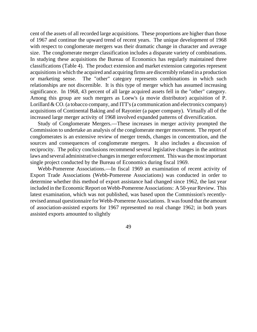cent of the assets of all recorded large acquisitions. These proportions are higher than those of 1967 and continue the upward trend of recent years. The unique development of 1968 with respect to conglomerate mergers was their dramatic change in character and average size. The conglomerate merger classification includes a disparate variety of combinations. In studying these acquisitions the Bureau of Economics has regularly maintained three classifications (Table 4). The product extension and market extension categories represent acquisitions in which the acquired and acquiring firms are discernibly related in a production or marketing sense. The "other" category represents combinations in which such relationships are not discernible. It is this type of merger which has assumed increasing significance. In 1968, 43 percent of all large acquired assets fell in the "other" category. Among this group are such mergers as Loew's (a movie distributor) acquisition of P. Lorillard  $& CO$ . (a tobacco company, and ITT's (a communication and electronics company) acquisitions of Continental Baking and of Rayonier (a paper company). Virtually all of the increased large merger activity of 1968 involved expanded patterns of diversification.

Study of Conglomerate Mergers.—These increases in merger activity prompted the Commission to undertake an analysis of the conglomerate merger movement. The report of conglomerates is an extensive review of merger trends, changes in concentration, and the sources and consequences of conglomerate mergers. It also includes a discussion of reciprocity. The policy conclusions recommend several legislative changes in the antitrust laws and several administrative changes in merger enforcement. This was the most important single project conducted by the Bureau of Economics during fiscal 1969.

Webb-Pomerene Associations.—In fiscal 1969 an examination of recent activity of Export Trade Associations (Webb-Pomerene Associations) was conducted in order to determine whether this method of export assistance had changed since 1962, the last year included in the Economic Report on Webb-Pomerene Associations: A 50-year Review. This latest examination, which was not published, was based upon the Commission's recentlyrevised annual questionnaire forWebb-Pomerene Associations. It was found that the amount of association-assisted exports for 1967 represented no real change 1962; in both years assisted exports amounted to slightly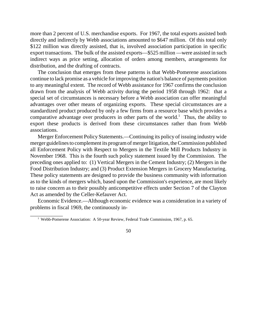more than 2 percent of U.S. merchandise exports. For 1967, the total exports assisted both directly and indirectly by Webb associations amounted to \$647 million. Of this total only \$122 million was directly assisted, that is, involved association participation in specific export transactions. The bulk of the assisted exports—\$525 million —were assisted in such indirect ways as price setting, allocation of orders among members, arrangements for distribution, and the drafting of contracts.

The conclusion that emerges from these patterns is that Webb-Pomerene associations continue to lack promise as a vehicle for improving the nation's balance of payments position to any meaningful extent. The record of Webb assistance for 1967 confirms the conclusion drawn from the analysis of Webb activity during the period 1958 through 1962: that a special set of circumstances is necessary before a Webb association can offer meaningful advantages over other means of organizing exports. These special circumstances are a standardized product produced by only a few firms from a resource base which provides a comparative advantage over producers in other parts of the world.<sup>1</sup> Thus, the ability to export these products is derived from these circumstances rather than from Webb associations.

Merger Enforcement Policy Statements.—Continuing its policy of issuing industry wide merger guidelines to complement its program of merger litigation, the Commission published all Enforcement Policy with Respect to Mergers in the Textile Mill Products Industry in November 1968. This is the fourth such policy statement issued by the Commission. The preceding ones applied to: (1) Vertical Mergers in the Cement Industry; (2) Mergers in the Food Distribution Industry; and (3) Product Extension Mergers in Grocery Manufacturing. These policy statements are designed to provide the business community with information as to the kinds of mergers which, based upon the Commission's experience, are most likely to raise concern as to their possibly anticompetitive effects under Section 7 of the Clayton Act as amended by the Celler-Kefauver Act.

Economic Evidence.—Although economic evidence was a consideration in a variety of problems in fiscal 1969, the continuously in-

\_\_\_\_\_\_\_\_\_\_\_\_



<sup>&</sup>lt;sup>1</sup> Webb-Pomerene Association: A 50-year Review, Federal Trade Commission, 1967, p. 65.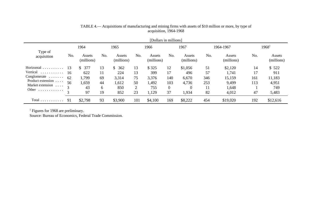|                                                                                                                                        |                           |                                               |                                 |                                                            |                                 | [Dollars in millions]                          |                                          |                                                       |                                    |                                                       |                              |                                                 |
|----------------------------------------------------------------------------------------------------------------------------------------|---------------------------|-----------------------------------------------|---------------------------------|------------------------------------------------------------|---------------------------------|------------------------------------------------|------------------------------------------|-------------------------------------------------------|------------------------------------|-------------------------------------------------------|------------------------------|-------------------------------------------------|
| Type of<br>acquisition                                                                                                                 | 1964                      |                                               | 1965                            |                                                            | 1966                            |                                                | 1967                                     |                                                       | 1964-1967                          |                                                       | $1968^1$                     |                                                 |
|                                                                                                                                        | No.                       | Assets<br>(millions)                          | No.                             | Assets<br>(millions)                                       | No.                             | Assets<br>(millions)                           | No.                                      | Assets<br>(millions)                                  | No.                                | Assets<br>(millions)                                  | No.                          | Assets<br>(millions)                            |
| Horizontal<br>.<br>Vertical<br>.<br>$Conglomerate \dots \dots$<br>Product extension<br>.<br>Market extension<br>$\cdots$<br>Other<br>. | 13<br>16<br>62<br>56<br>3 | 377<br>S.<br>622<br>1,799<br>.659<br>43<br>97 | 13<br>11<br>69<br>44<br>6<br>19 | 362<br>$\mathbb{S}$<br>224<br>3,314<br>1,612<br>850<br>852 | 13<br>13<br>75<br>50<br>2<br>23 | \$325<br>399<br>3,376<br>1,492<br>755<br>1,129 | 12<br>17<br>140<br>103<br>$\theta$<br>37 | \$1,056<br>496<br>6,670<br>4,736<br>$\theta$<br>1,934 | 51<br>57<br>346<br>253<br>11<br>82 | \$2,120<br>1,741<br>15,159<br>9,499<br>1,648<br>4,012 | 14<br>17<br>161<br>113<br>47 | \$522<br>911<br>11,183<br>4,951<br>749<br>5,483 |
| $Total \ldots \ldots \ldots$                                                                                                           | 91                        | \$2,798                                       | 93                              | \$3,900                                                    | 101                             | \$4,100                                        | 169                                      | \$8,222                                               | 454                                | \$19,020                                              | 192                          | \$12,616                                        |

# TABLE 4.— Acquisitions of manufacturing and mining firms with assets of \$10 million or more, by type of acquisition, 1964-1968

<sup>1</sup> Figures for 1968 are preliminary.

Source: Bureau of Economics, Federal Trade Commission.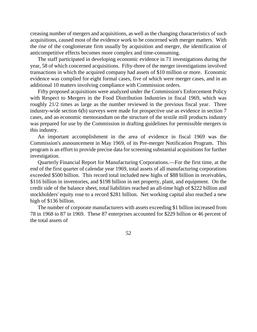creasing number of mergers and acquisitions, as well as the changing characteristics of such acquisitions, caused most of the evidence work to be concerned with merger matters. With the rise of the conglomerate firm usually by acquisition and merger, the identification of anticompetitive effects becomes more complex and time-consuming.

The staff participated in developing economic evidence in 71 investigations during the year, 58 of which concerned acquisitions. Fifty-three of the merger investigations involved transactions in which the acquired company had assets of \$10 million or more. Economic evidence was complied for eight formal cases, five of which were merger cases, and in an additional 10 matters involving compliance with Commission orders.

Fifty proposed acquisitions were analyzed under the Commission's Enforcement Policy with Respect to Mergers in the Food Distribution Industries in fiscal 1969, which was roughly 21/2 times as large as the number reviewed in the previous fiscal year. Three industry-wide section 6(b) surveys were made for prospective use as evidence in section 7 cases, and an economic memorandum on the structure of the textile mill products industry was prepared for use by the Commission in drafting guidelines for permissible mergers in this industry.

An important accomplishment in the area of evidence in fiscal 1969 was the Commission's announcement in May 1969, of its Pre-merger Notification Program. This program is an effort to provide precise data for screening substantial acquisitions for further investigation.

Quarterly Financial Report for Manufacturing Corporations.—For the first time, at the end of the first quarter of calendar year 1969, total assets of all manufacturing corporations exceeded \$500 billion. This record total included new highs of \$88 billion in receivables, \$116 billion in inventories, and \$198 billion in net property, plant, and equipment. On the credit side of the balance sheet, total liabilities reached an all-time high of \$222 billion and stockholders' equity rose to a record \$281 billion. Net working capital also reached a new high of \$136 billion.

The number of corporate manufacturers with assets exceeding \$1 billion increased from 78 in 1968 to 87 in 1969. These 87 enterprises accounted for \$229 billion or 46 percent of the total assets of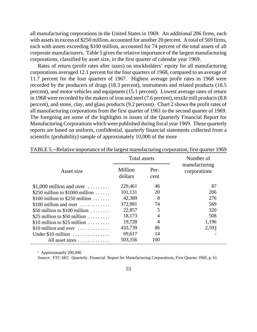all manufacturing corporations in the United States in 1969. An additional 206 firms, each with assets in excess of \$250 million, accounted for another 20 percent. A total of 569 firms, each with assets exceeding \$100 million, accounted for 74 percent of the total assets of all corporate manufacturers. Table 5 gives the relative importance of the largest manufacturing corporations, classified by asset size, in the first quarter of calendar year 1969.

Rates of return (profit rates after taxes) on stockholders' equity for all manufacturing corporations averaged 12.1 percent for the four quarters of 1968, compared to an average of 11.7 percent for the four quarters of 1967. Highest average profit rates in 1968 were recorded by the producers of drugs (18.3 percent), instruments and related products (16.5 percent), and motor vehicles and equipment (15.1 percent). Lowest average rates of return in 1968 were recorded by the makers of iron and steel (7.6 percent), textile mill products(8.8 percent), and stone, clay, and glass products (9.2 percent). Chart 2 shows the profit rates of all manufacturing corporations from the first quarter of 1961 to the second quarter of 1969. The foregoing are some of the highlights in issues of the Quarterly Financial Report for Manufacturing Corporations which were published during fiscal year 1969. These quarterly reports are based on uniform, confidential, quarterly financial statements collected from a scientific (probability) sample of approximately 10,000 of the more

|                                                | Total assets       |              | Number of                     |  |
|------------------------------------------------|--------------------|--------------|-------------------------------|--|
| Asset size                                     | Million<br>dollars | Per-<br>cent | manufacturing<br>corporations |  |
| \$1,000 million and over $\dots\dots\dots$     | 229,461            | 46           | 87                            |  |
| \$250 million to $$1000$ million               | 101,131            | 20           | 206                           |  |
| \$100 million to \$250 million $\dots \dots$   | 42,389             | 8            | 276                           |  |
| \$100 million and over $\dots\dots\dots\dots$  | 372,981            | 74           | 569                           |  |
| \$50 million to $$100$ million                 | 22,857             | 5            | 320                           |  |
| \$25 million to \$50 million $\dots\dots\dots$ | 18,173             | 4            | 508                           |  |
| \$10 million to \$25 million $\dots \dots$     | 19,728             | 4            | 1,196                         |  |
| \$10 million and over $\dots\dots\dots\dots$   | 433,739            | 86           | 2,593                         |  |
| Under \$10 million                             | 69,617             | 14           |                               |  |
| All asset sizes                                | 503,356            | 100          |                               |  |

| TABLE 5.--Relative importance of the largest manufacturing corporation, first quarter 1969 |  |  |
|--------------------------------------------------------------------------------------------|--|--|
|                                                                                            |  |  |

<sup>1</sup> Approximately 200,000.

Source: FTC-SEC Quarterly Financial Report for Manufacturing Corporations, First Quarter 1969, p. 61.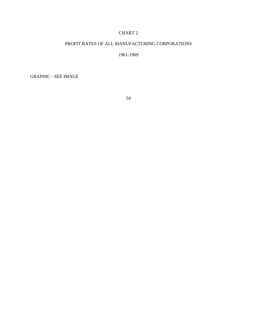### CHART 2

### PROFIT RATES OF ALL MANUFACTURING CORPORATIONS

#### 1961-1969

GRAPHIC - SEE IMAGE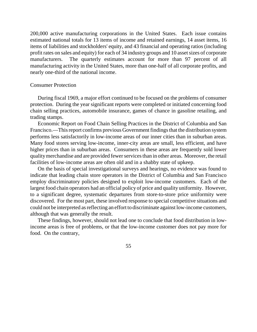200,000 active manufacturing corporations in the United States. Each issue contains estimated national totals for 13 items of income and retained earnings, 14 asset items, 16 items of liabilities and stockholders' equity, and 43 financial and operating ratios (including profit rates on sales and equity) for each of 34 industry groups and 10 asset sizes of corporate manufacturers. The quarterly estimates account for more than 97 percent of all manufacturing activity in the United States, more than one-half of all corporate profits, and nearly one-third of the national income.

#### Consumer Protection

During fiscal 1969, a major effort continued to be focused on the problems of consumer protection. During the year significant reports were completed or initiated concerning food chain selling practices, automobile insurance, games of chance in gasoline retailing, and trading stamps.

Economic Report on Food Chain Selling Practices in the District of Columbia and San Francisco.—This report confirms previous Government findings that the distribution system performs less satisfactorily in low-income areas of our inner cities than in suburban areas. Many food stores serving low-income, inner-city areas are small, less efficient, and have higher prices than in suburban areas. Consumers in these areas are frequently sold lower quality merchandise and are provided fewer services than in other areas. Moreover, the retail facilities of low-income areas are often old and in a shabby state of upkeep.

On the basis of special investigational surveys and hearings, no evidence was found to indicate that leading chain store operators in the District of Columbia and San Francisco employ discriminatory policies designed to exploit low-income customers. Each of the largest food chain operators had an official policy of price and quality uniformity. However, to a significant degree, systematic departures from store-to-store price uniformity were discovered. For the most part, these involved response to special competitive situations and could not be interpreted as reflecting an effort to discriminate against low-income customers, although that was generally the result.

These findings, however, should not lead one to conclude that food distribution in lowincome areas is free of problems, or that the low-income customer does not pay more for food. On the contrary,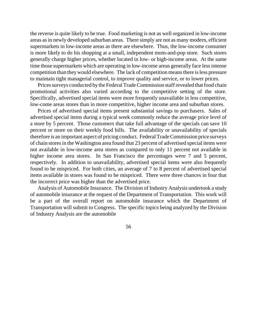the reverse is quite likely to be true. Food marketing is not as well organized in low-income areas asin newly developed suburban areas. There simply are not as many modern, efficient supermarkets in low-income areas as there are elsewhere. Thus, the low-income consumer is more likely to do his shopping at a small, independent mom-and-pop store. Such stores generally charge higher prices, whether located in low- or high-income areas. At the same time those supermarkets which are operating in low-income areas generally face less intense competition than theywould elsewhere. The lack of competition means there is less pressure to maintain tight managerial control, to improve quality and service, or to lower prices.

Prices surveys conducted by the Federal Trade Commission staff revealed that food chain promotional activities also varied according to the competitive setting of the store. Specifically, advertised special items were more frequently unavailable in less competitive, low-come areas stores than in more competitive, higher income area and suburban stores.

Prices of advertised special items present substantial savings to purchasers. Sales of advertised special items during a typical week commonly reduce the average price level of a store by 5 percent. Those customers that take full advantage of the specials can save 10 percent or more on their weekly food bills. The availability or unavailability of specials therefore is an important aspect of pricing conduct. Federal Trade Commission price surveys of chain stores in the Washington area found that 23 percent of advertised special items were not available in low-income area stores as compared to only 11 percent not available in higher income area stores. In San Francisco the percentages were 7 and 5 percent, respectively. In addition to unavailability, advertised special items were also frequently found to be mispriced. For both cities, an average of 7 to 8 percent of advertised special items available in stores was found to be mispriced. There were three chances in four that the incorrect price was higher than the advertised price.

Analysis of Automobile Insurance. The Division of Industry Analysis undertook a study of automobile insurance at the request of the Department of Transportation. This work will be a part of the overall report on automobile insurance which the Department of Transportation will submit to Congress. The specific topics being analyzed by the Division of Industry Analysis are the automobile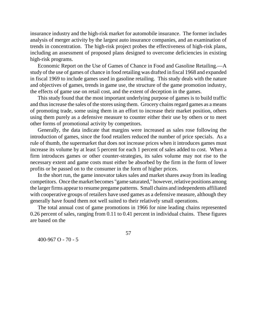insurance industry and the high-risk market for automobile insurance. The former includes analysis of merger activity by the largest auto insurance companies, and an examination of trends in concentration. The high-risk project probes the effectiveness of high-risk plans, including an assessment of proposed plans designed to overcome deficiencies in existing high-risk programs.

Economic Report on the Use of Games of Chance in Food and Gasoline Retailing.—A study of the use of games of chance in food retailing was drafted in fiscal 1968 and expanded in fiscal 1969 to include games used in gasoline retailing. This study deals with the nature and objectives of games, trends in game use, the structure of the game promotion industry, the effects of game use on retail cost, and the extent of deception in the games.

This study found that the most important underlying purpose of games is to build traffic and thusincrease the sales of the stores using them. Grocery chains regard games as a means of promoting trade, some using them in an effort to increase their market position, others using them purely as a defensive measure to counter either their use by others or to meet other forms of promotional activity by competitors.

Generally, the data indicate that margins were increased as sales rose following the introduction of games, since the food retailers reduced the number of price specials. As a rule of thumb, the supermarket that does not increase prices when it introduces games must increase its volume by at least 5 percent for each 1 percent of sales added to cost. When a firm introduces games or other counter-strategies, its sales volume may not rise to the necessary extent and game costs must either be absorbed by the firm in the form of lower profits or be passed on to the consumer in the form of higher prices.

In the short run, the game innovator takes sales and market shares away from its leading competitors. Once the market becomes "game saturated," however, relative positions among the larger firms appear to resume pregame patterns. Small chains and independents affiliated with cooperative groups of retailers have used games as a defensive measure, although they generally have found them not well suited to their relatively small operations.

The total annual cost of game promotions in 1966 for nine leading chains represented 0.26 percent of sales, ranging from 0.11 to 0.41 percent in individual chains. These figures are based on the

57

400-967 O - 70 - 5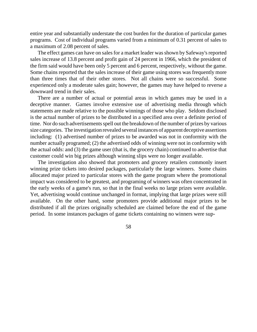entire year and substantially understate the cost burden for the duration of particular games programs. Cost of individual programs varied from a minimum of 0.31 percent of sales to a maximum of 2.08 percent of sales.

The effect games can have on sales for a market leader was shown by Safeway's reported sales increase of 13.8 percent and profit gain of 24 percent in 1966, which the president of the firm said would have been only 5 percent and 6 percent, respectively, without the game. Some chains reported that the sales increase of their game using stores was frequently more than three times that of their other stores. Not all chains were so successful. Some experienced only a moderate sales gain; however, the games may have helped to reverse a downward trend in their sales.

There are a number of actual or potential areas in which games may be used in a deceptive manner. Games involve extensive use of advertising media through which statements are made relative to the possible winnings of those who play. Seldom disclosed is the actual number of prizes to be distributed in a specified area over a definite period of time. Nor do such advertisements spell out the breakdown of the number of prizes by various size categories. The investigation revealed several instances of apparent deceptive assertions including: (1) advertised number of prizes to be awarded was not in conformity with the number actually programed; (2) the advertised odds of winning were not in conformity with the actual odds: and (3) the game user (that is, the grocery chain) continued to advertise that customer could win big prizes although winning slips were no longer available.

The investigation also showed that promoters and grocery retailers commonly insert winning prize tickets into desired packages, particularly the large winners. Some chains allocated major prized to particular stores with the game program where the promotional impact was considered to be greatest, and programing of winners was often concentrated in the early weeks of a game's run, so that in the final weeks no large prizes were available. Yet, advertising would continue unchanged in format, implying that large prizes were still available. On the other hand, some promoters provide additional major prizes to be distributed if all the prizes originally scheduled are claimed before the end of the game period. In some instances packages of game tickets containing no winners were sup-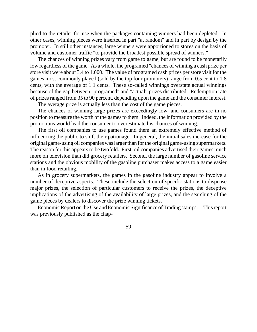plied to the retailer for use when the packages containing winners had been depleted. In other cases, winning pieces were inserted in part "at random" and in part by design by the promoter. In still other instances, large winners were apportioned to stores on the basis of volume and customer traffic "to provide the broadest possible spread of winners."

The chances of winning prizes vary from game to game, but are found to be monetarily low regardless of the game. As a whole, the programed "chances of winning a cash prize per store visit were about 3.4 to 1,000. The value of programed cash prizes per store visit for the games most commonly played (sold by the top four promoters) range from 0.5 cent to 1.8 cents, with the average of 1.1 cents. These so-called winnings overstate actual winnings because of the gap between "programed" and "actual" prizes distributed. Redemption rate of prizes ranged from 35 to 90 percent, depending upon the game and the consumer interest.

The average prize is actually less than the cost of the game pieces.

The chances of winning large prizes are exceedingly low, and consumers are in no position to measure the worth of the games to them. Indeed, the information provided by the promotions would lead the consumer to overestimate his chances of winning.

The first oil companies to use games found them an extremely effective method of influencing the public to shift their patronage. In general, the initial sales increase for the original game-using oil companies waslargerthan forthe original game-using supermarkets. The reason for this appears to be twofold. First, oil companies advertised their games much more on television than did grocery retailers. Second, the large number of gasoline service stations and the obvious mobility of the gasoline purchaser makes access to a game easier than in food retailing.

As in grocery supermarkets, the games in the gasoline industry appear to involve a number of deceptive aspects. These include the selection of specific stations to dispense major prizes, the selection of particular customers to receive the prizes, the deceptive implications of the advertising of the availability of large prizes, and the searching of the game pieces by dealers to discover the prize winning tickets.

Economic Report on the Use and Economic Significance of Trading stamps.—This report was previously published as the chap-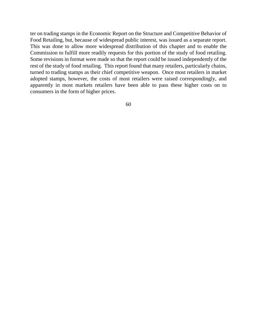ter on trading stamps in the Economic Report on the Structure and Competitive Behavior of Food Retailing, but, because of widespread public interest, was issued as a separate report. This was done to allow more widespread distribution of this chapter and to enable the Commission to fulfill more readily requests for this portion of the study of food retailing. Some revisions in format were made so that the report could be issued independently of the rest of the study of food retailing. This report found that many retailers, particularly chains, turned to trading stamps as their chief competitive weapon. Once most retailers in market adopted stamps, however, the costs of most retailers were raised correspondingly, and apparently in most markets retailers have been able to pass these higher costs on to consumers in the form of higher prices.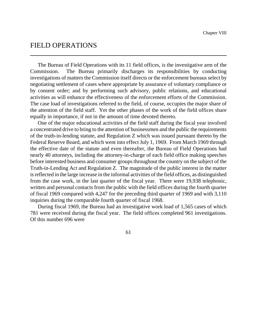# FIELD OPERATIONS

The Bureau of Field Operations with its 11 field offices, is the investigative arm of the Commission. The Bureau primarily discharges its responsibilities by conducting investigations of matters the Commission itself directs or the enforcement bureaus select by negotiating settlement of cases where appropriate by assurance of voluntary compliance or by consent order; and by performing such advisory, public relations, and educational activities as will enhance the effectiveness of the enforcement efforts of the Commission. The case load of investigations referred to the field, of course, occupies the major share of the attention of the field staff. Yet the other phases of the work of the field offices share equally in importance, if not in the amount of time devoted thereto.

One of the major educational activities of the field staff during the fiscal year involved a concentrated drive to bring to the attention of businessmen and the public the requirements of the truth-in-lending statute, and Regulation Z which was issued pursuant thereto by the Federal Reserve Board, and which went into effect July 1, 1969. From March 1969 through the effective date of the statute and even thereafter, the Bureau of Field Operations had nearly 40 attorneys, including the attorney-in-charge of each field office making speeches before interested business and consumer groupsthroughout the country on the subject of the Truth-in-Lending Act and Regulation Z. The magnitude of the public interest in the matter isreflected in the large increase in the informal activities of the field offices, as distinguished from the case work, in the last quarter of the fiscal year. There were 19,938 telephonic, written and personal contacts from the public with the field offices during the fourth quarter of fiscal 1969 compared with 4,247 for the preceding third quarter of 1969 and with 3,110 inquiries during the comparable fourth quarter of fiscal 1968.

During fiscal 1969, the Bureau had an investigative work load of 1,565 cases of which 781 were received during the fiscal year. The field offices completed 961 investigations. Of this number 696 were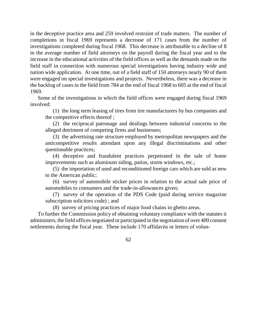in the deceptive practice area and 259 involved restraint of trade matters. The number of completions in fiscal 1969 represents a decrease of 171 cases from the number of investigations completed during fiscal 1968. This decrease is attributable to a decline of 8 in the average number of field attorneys on the payroll during the fiscal year and to the increase in the educational activities of the field offices as well as the demands made on the field staff in connection with numerous special investigations having industry wide and nation wide application. At one time, out of a field staff of 150 attorneys nearly 90 of them were engaged on special investigations and projects. Nevertheless, there was a decrease in the backlog of cases in the field from 784 at the end of fiscal 1968 to 605 at the end of fiscal 1969.

Some of the investigations in which the field offices were engaged during fiscal 1969 involved:

(1) the long term leasing of tires from tire manufacturers by bus companies and the competitive effects thereof ;

(2) the reciprocal patronage and dealings between industrial concerns to the alleged detriment of competing firms and businesses;

(3) the advertising rate structure employed by metropolitan newspapers and the anticompetitive results attendant upon any illegal discriminations and other questionable practices;

(4) deceptive and fraudulent practices perpetrated in the sale of home improvements such as aluminum siding, patios, storm windows, etc.;

(5) the importation of used and reconditioned foreign cars which are sold as new to the American public;

(6) survey of automobile sticker prices in relation to the actual sale price of automobiles to consumers and the trade-in-allowances given;

(7) survey of the operation of the PDS Code (paid during service magazine subscription solicitors code) ; and

(8) survey of pricing practices of major food chains in ghetto areas.

To further the Commission policy of obtaining voluntary compliance with the statutes it administers, the field offices negotiated or participated in the negotiation of over 400 consent settlements during the fiscal year. These include 170 affidavits or letters of volun-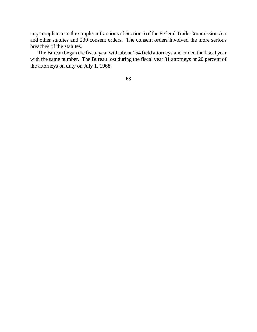tary compliance in the simpler infractions of Section 5 of the Federal Trade Commission Act and other statutes and 239 consent orders. The consent orders involved the more serious breaches of the statutes.

The Bureau began the fiscal year with about 154 field attorneys and ended the fiscal year with the same number. The Bureau lost during the fiscal year 31 attorneys or 20 percent of the attorneys on duty on July 1, 1968.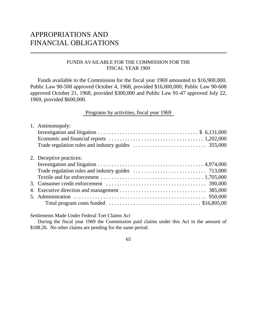# APPROPRIATIONS AND FINANCIAL OBLIGATIONS

## FUNDS AVAILABLE FOR THE COMMISSION FOR THE FISCAL YEAR 1969

Funds available to the Commission for the fiscal year 1969 amounted to \$16,900,000. Public Law 90-500 approved October 4, 1968, provided \$16,000,000; Public Law 90-608 approved October 21, 1968, provided \$300,000 and Public Law 91-47 approved July 22, 1969, provided \$600,000.

## Programs by activities, fiscal year 1969

| Total program costs funded $\ldots \ldots \ldots \ldots \ldots \ldots \ldots \ldots \ldots$ \$16,805,00 |
|---------------------------------------------------------------------------------------------------------|
|                                                                                                         |

Settlements Made Under Federal Tort Claims Act

During the fiscal year 1969 the Commission paid claims under this Act in the amount of \$188.26. No other claims are pending for the same period.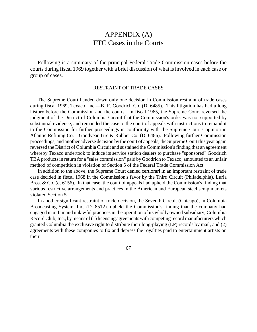# APPENDIX (A) FTC Cases in the Courts

Following is a summary of the principal Federal Trade Commission cases before the courts during fiscal 1969 together with a brief discussion of what is involved in each case or group of cases.

#### RESTRAINT OF TRADE CASES

The Supreme Court handed down only one decision in Commission restraint of trade cases during fiscal 1969, Texaco, Inc.—B. F. Goodrich Co. (D. 6485). This litigation has had a long history before the Commission and the courts. In fiscal 1965, the Supreme Court reversed the judgment of the District of Columbia Circuit that the Commission's order was not supported by substantial evidence, and remanded the case to the court of appeals with instructions to remand it to the Commission for further proceedings in conformity with the Supreme Court's opinion in Atlantic Refining Co.—Goodyear Tire & Rubber Co. (D. 6486). Following further Commission proceedings, and another adverse decision by the court of appeals, the SupremeCourt this year again reversed the District of Columbia Circuit and sustained the Commission's finding that an agreement whereby Texaco undertook to induce its service station dealers to purchase "sponsored" Goodrich TBA products in return for a "sales commission" paid by Goodrich to Texaco, amounted to an unfair method of competition in violation of Section 5 of the Federal Trade Commission Act.

In addition to the above, the Supreme Court denied certiorari in an important restraint of trade case decided in fiscal 1968 in the Commission's favor by the Third Circuit (Philadelphia), Luria Bros. & Co. (d. 6156). In that case, the court of appeals had upheld the Commission's finding that various restrictive arrangements and practices in the American and European steel scrap markets violated Section 5.

In another significant restraint of trade decision, the Seventh Circuit (Chicago), in Columbia Broadcasting System, Inc. (D. 8512). upheld the Commission's finding that the company had engaged in unfair and unlawful practices in the operation of its wholly owned subsidiary, Columbia Record Club, Inc., by means of (1) licensing agreements with competing record manufacturers which granted Columbia the exclusive right to distribute their long-playing (LP) records by mail, and (2) agreements with these companies to fix and depress the royalties paid to entertainment artists on their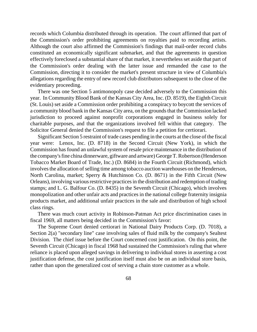records which Columbia distributed through its operation. The court affirmed that part of the Commission's order prohibiting agreements on royalties paid to recording artists. Although the court also affirmed the Commission's findings that mail-order record clubs constituted an economically significant submarket, and that the agreements in question effectively foreclosed a substantial share of that market, it nevertheless set aside that part of the Commission's order dealing with the latter issue and remanded the case to the Commission, directing it to consider the market's present structure in view of Columbia's allegations regarding the entry of new record club distributors subsequent to the close of the evidentiary proceeding.

There was one Section 5 antimonopoly case decided adversely to the Commission this year. In Community Blood Bank of the Kansas City Area, Inc. (D. 8519), the Eighth Circuit (St. Louis) set aside a Commission order prohibiting a conspiracy to boycott the services of a community blood bank in the Kansas City area, on the grounds that the Commission lacked jurisdiction to proceed against nonprofit corporations engaged in business solely for charitable purposes, and that the organizations involved fell within that category. The Solicitor General denied the Commission's request to file a petition for certiorari.

Significant Section 5 restraint of trade cases pending in the courts at the close of the fiscal year were: Lenox, Inc. (D. 8718) in the Second Circuit (New York), in which the Commission has found an unlawful system of resale price maintenance in the distribution of the company's fine china dinnerware, giftware and artware) George T. Robertson (Henderson Tobacco Market Board of Trade, Inc.) (D. 8684) in the Fourth Circuit (Richmond), which involves the allocation of selling time among tobacco auction warehouses on the Henderson, North Carolina, market; Sperry & Hutchinson Co. (D. 8671) in the Fifth Circuit (New Orleans), involving various restrictive practices in the distribution and redemption of trading stamps; and L. G. Balfour Co. (D. 8435) in the Seventh Circuit (Chicago), which involves monopolization and other unfair acts and practices in the national college fraternity insignia products market, and additional unfair practices in the sale and distribution of high school class rings.

There was much court activity in Robinson-Patman Act price discrimination cases in fiscal 1969, all matters being decided in the Commission's favor:

The Supreme Court denied certiorari in National Dairy Products Corp. (D. 7018), a Section 2(a) "secondary line" case involving sales of fluid milk by the company's Sealtest Division. The chief issue before the Court concerned cost justification. On this point, the Seventh Circuit (Chicago) in fiscal 1968 had sustained the Commission's ruling that where reliance is placed upon alleged savings in delivering to individual stores in asserting a cost justification defense, the cost justification itself must also be on an individual store basis, rather than upon the generalized cost of serving a chain store customer as a whole.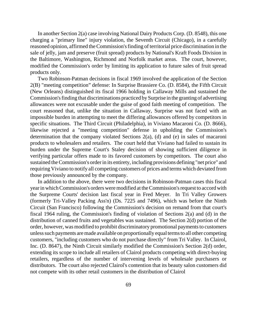In another Section 2(a) case involving National Dairy Products Corp. (D. 8548), this one charging a "primary line" injury violation, the Seventh Circuit (Chicago), in a carefully reasoned opinion, affirmed the Commission's finding of territorial price discrimination in the sale of jelly, jam and preserve (fruit spread) products by National's Kraft Foods Division in the Baltimore, Washington, Richmond and Norfolk market areas. The court, however, modified the Commission's order by limiting its application to future sales of fruit spread products only.

Two Robinson-Patman decisions in fiscal 1969 involved the application of the Section 2(B) "meeting competition" defense: In Surprise Brassiere Co. (D. 8584), the Fifth Circuit (New Orleans) distinguished its fiscal 1966 holding in Callaway Mills and sustained the Commission's finding that discriminations practiced by Surprise in the granting of advertising allowances were not excusable under the guise of good faith meeting of competition. The court reasoned that, unlike the situation in Callaway, Surprise was not faced with an impossible burden in attempting to meet the differing allowances offered by competitors in specific situations. The Third Circuit (Philadelphia), in Viviano Macaroni Co. (D. 8666), likewise rejected a "meeting competition" defense in upholding the Commission's determination that the company violated Sections 2(a), (d) and (e) in sales of macaroni products to wholesalers and retailers. The court held that Viviano had failed to sustain its burden under the Supreme Court's Staley decision of showing sufficient diligence in verifying particular offers made to its favored customers by competitors. The court also sustained theCommission's orderin its entirety, including provisions defining "net price" and requiring Viviano to notify all competing customers of prices and terms which deviated from those previously announced by the company.

In addition to the above, there were two decisions in Robinson-Patman cases this fiscal year in which Commission's orders were modified at the Commission's request to accord with the Surpreme Courts' decision last fiscal year in Fred Meyer. In Tri Valley Growers (formerly Tri-Valley Packing Ass'n) (Ds. 7225 and 7496), which was before the Ninth Circuit (San Francisco) following the Commission's decision on remand from that court's fiscal 1964 ruling, the Commission's finding of violation of Sections 2(a) and (d) in the distribution of canned fruits and vegetables was sustained. The Section 2(d) portion of the order, however, was modified to prohibit discriminatory promotional payments to customers unlesssuch payments aremade available on proportionally equal terms to all other competing customers, "including customers who do not purchase directly" from Tri Valley. In Clairol, Inc. (D. 8647), the Ninth Circuit similarly modified the Commission's Section 2(d) order, extending its scope to include all retailers of Clairol products competing with direct-buying retailers, regardless of the number of intervening levels of wholesale purchasers or distributors. The court also rejected Clairol's contention that its beauty salon customers did not compete with its other retail customers in the distribution of Clairol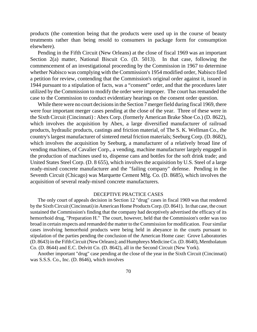products (the contention being that the products were used up in the course of beauty treatments rather than being resold to consumers in package form for consumption elsewhere).

Pending in the Fifth Circuit (New Orleans) at the close of fiscal 1969 was an important Section 2(a) matter, National Biscuit Co. (D. 5013). In that case, following the commencement of an investigational proceeding by the Commission in 1967 to determine whether Nabisco was complying with the Commission's 1954 modified order, Nabisco filed a petition for review, contending that the Commission's original order against it, issued in 1944 pursuant to a stipulation of facts, was a "consent" order, and that the procedures later utilized by the Commission to modify the order were improper. The court has remanded the case to the Commission to conduct evidentiary hearings on the consent order question.

While there were no court decisions in the Section 7 merger field during fiscal 1969, there were four important merger cases pending at the close of the year. Three of these were in the Sixth Circuit (Cincinnati) : Abex Corp. (formerly American Brake Shoe Co.) (D. 8622), which involves the acquisition by Abex, a large diversified manufacturer of railroad products, hydraulic products, castings and friction material, of The S. K. Wellman Co., the country'slargest manufacturer of sintered metal friction materials; Seeburg Corp. (D. 8682), which involves the acquisition by Seeburg, a manufacturer of a relatively broad line of vending machines, of Cavalier Corp., a vending, machine manufacturer largely engaged in the production of machines used to, dispense cans and bottles for the soft drink trade; and United States Steel Corp. (D. 8 655), which involves the acquisition by U.S. Steel of a large ready-mixed concrete manufacturer and the "failing company" defense. Pending in the Seventh Circuit (Chicago) was Marquette Cement Mfg. Co. (D. 8685), which involves the acquisition of several ready-mixed concrete manufacturers.

#### DECEPTIVE PRACTICE CASES

The only court of appeals decision in Section 12 "drug" cases in fiscal 1969 was that rendered by the Sixth Circuit (Cincinnati) in American Home Products Corp. (D. 8641). In that case, the court sustained the Commission's finding that the company had deceptively advertised the efficacy of its hemorrhoid drug, "Preparation H." The court, however, held that the Commission's order was too broad in certain respects and remanded the matter to the Commission for modification. Four similar cases involving hemorrhoid products were being held in abeyance in the courts pursuant to stipulation of the parties pending the conclusion of the American Home case: Grove Laboratories (D. 8643) in the Fifth Circuit (New Orleans); and Humphreys Medicine Co. (D. 8640), Mentholatum Co. (D. 8644) and E.C. Delvitt Co. (D. 8642), all in the Second Circuit (New York).

Another important "drug" case pending at the close of the year in the Sixth Circuit (Cincinnati) was S.S.S. Co., Inc. (D. 8646), which involves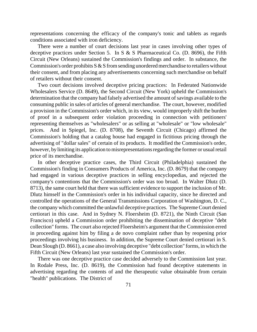representations concerning the efficacy of the company's tonic and tablets as regards conditions associated with iron deficiency.

There were a number of court decisions last year in cases involving other types of deceptive practices under Section 5. In S & S Pharmaceutical Co. (D. 8696), the Fifth Circuit (New Orleans) sustained the Commission's findings and order. In substance, the Commission's order prohibits  $S & S$  from sending unordered merchandise to retailers without their consent, and from placing any advertisements concerning such merchandise on behalf of retailers without their consent.

Two court decisions involved deceptive pricing practices: In Federated Nationwide Wholesalers Service (D. 8649), the Second Circuit (New York) upheld the Commission's determination that the company had falsely advertised the amount of savings available to the consuming public in sales of articles of general merchandise. The court, however, modified a provision in the Commission's order which, in its view, would improperly shift the burden of proof in a subsequent order violation proceeding in connection with petitioners' representing themselves as "wholesalers" or as selling at "wholesale" or "low wholesale" prices. And in Spiegel, Inc. (D. 8708), the Seventh Circuit (Chicago) affirmed the Commission's holding that a catalog house had engaged in fictitious pricing through the advertising of "dollar sales" of certain of its products. It modified the Commission's order, however, by limiting its application to misrepresentations regarding the former or usual retail price of its merchandise.

In other deceptive practice cases, the Third Circuit (Philadelphia) sustained the Commission's finding in Consumers Products of America, Inc. (D. 8679) that the company had engaged in various deceptive practices in selling encyclopedias, and rejected the company's contentions that the Commission's order was too broad. In Walter Dlutz (D. 8713), the same court held that there was sufficient evidence to support the inclusion of Mr. Dlutz himself in the Commission's order in his individual capacity, since he directed and controlled the operations of the General Transmissions Corporation of Washington, D. C., the company which committed the unlawful deceptive practices. The Supreme Court denied certiorari in this case. And in Sydney N. Floersheim (D. 8721), the Ninth Circuit (San Francisco) upheld a Commission order prohibiting the dissemination of deceptive "debt collection" forms. The court also rejected Floersheim's argument that the Commission erred in proceeding against him by filing a de novo complaint rather than by reopening prior proceedings involving his business. In addition, the Supreme Court denied certiorari in S. Dean Slough (D. 8661), a case also involving deceptive "debt collection" forms, in which the Fifth Circuit (New Orleans) last year sustained the Commission's order.

There was one deceptive practice case decided adversely to the Commission last year. In Rodale Press, Inc. (D. 8619), the Commission had found deceptive statements in advertising regarding the contents of and the therapeutic value obtainable from certain "health" publications. The District of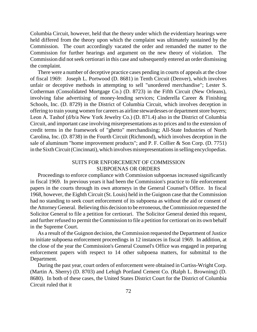Columbia Circuit, however, held that the theory under which the evidentiary hearings were held differed from the theory upon which the complaint was ultimately sustained by the Commission. The court accordingly vacated the order and remanded the matter to the Commission for further hearings and argument on the new theory of violation. The Commission did not seek certiorari in this case and subsequently entered an order dismissing the complaint.

There were a number of deceptive practice cases pending in courts of appeals at the close of fiscal 1969: Joseph L. Portwood (D. 8681) in Tenth Circuit (Denver), which involves unfair or deceptive methods in attempting to sell "unordered merchandise"; Lester S. Cotherman (Consolidated Mortgage Co.) (D. 8723) in the Fifth Circuit (New Orleans), involving false advertising of money-lending services; Cinderella Career & Finishing Schools, Inc. (D. 8729) in the District of Columbia Circuit, which involves deception in offering to train young women for careers as airline stewardesses or department store buyers; Leon A. Tashof (d/b/a New York Jewelry Co.) (D. 871.4) also in the District of Columbia Circuit, and important case involving misrepresentations as to prices and to the extension of credit terms in the framework of "ghetto" merchandising; All-State Industries of North Carolina, Inc. (D. 8738) in the Fourth Circuit (Richmond), which involves deception in the sale of aluminum "home improvement products"; and P. F. Collier & Son Corp. (D. 7751) in the Sixth Circuit (Cincinnati), which involves misrepresentations in selling encyclopedias.

### SUITS FOR ENFORCEMENT OF COMMISSION SUBPOENAS OR ORDERS

Proceedings to enforce compliance with Commission subpoenas increased significantly in fiscal 1969. In previous years it had been the Commission's practice to file enforcement papers in the courts through its own attorneys in the General Counsel's Office. In fiscal 1968, however, the Eighth Circuit (St. Louis) held in the Guignon case that the Commission had no standing to seek court enforcement of its subpoena as without the aid or consent of the AttorneyGeneral. Believing this decision to be erroneous, the Commission requested the Solicitor General to file a petition for certiorari. The Solicitor General denied this request, and further refused to permit the Commission to file a petition for certiorari on its own behalf in the Supreme Court.

As a result of the Guignon decision, the Commission requested the Department of Justice to initiate subpoena enforcement proceedings in 12 instances in fiscal 1969. In addition, at the close of the year the Commission's General Counsel's Office was engaged in preparing enforcement papers with respect to 14 other subpoena matters, for submittal to the Department.

During the past year, court orders of enforcement were obtained in Curtiss-Wright Corp. (Martin A. Sherry) (D. 8703) and Lehigh Portland Cement Co. (Ralph L. Browning) (D. 8680). In both of these cases, the United States District Court for the District of Columbia Circuit ruled that it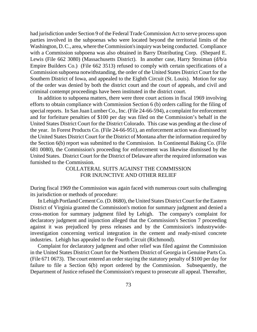had jurisdiction under Section 9 of the Federal Trade Commission Act to serve process upon parties involved in the subpoenas who were located beyond the territorial limits of the Washington, D.C., area, where the Commission's inquiry was being conducted. Compliance with a Commission subpoena was also obtained in Barry Distributing Corp. (Shepard E. Lewis (File 662 3080) (Massachusetts District). In another case, Harry Stroiman (d/b/a Empire Builders Co.) (File 662 3513) refused to comply with certain specifications of a Commission subpoena notwithstanding, the order of the United States District Court for the Southern District of Iowa, and appealed to the Eighth Circuit (St. Louis). Motion for stay of the order was denied by both the district court and the court of appeals, and civil and criminal contempt proceedings have been instituted in the district court.

In addition to subpoena matters, there were three court actions in fiscal 1969 involving efforts to obtain compliance with Commission Section 6 (b) orders calling for the filing of special reports. In San Juan Lumber Co., Inc. (File 24-66-594), a complaint for enforcement and for forfeiture penalties of \$100 per day was filed on the Commission's behalf in the United States District Court for the District Colorado. This case was pending at the close of the year. In Forest Products Co. (File 24-66-951), an enforcement action was dismissed by the United States District Court for the District of Montana after the information required by the Section 6(b) report was submitted to the Commission. In Continental Baking Co. (File 681 0080), the Commission's proceeding for enforcement was likewise dismissed by the United States. District Court for the District of Delaware after the required information was furnished to the Commission.

> COLLATERAL SUITS AGAINST THE COMMISSION FOR INJUNCTIVE AND OTHER RELIEF

During fiscal 1969 the Commission was again faced with numerous court suits challenging its jurisdiction or methods of procedure:

In Lehigh Portland Cement Co. (D. 8680), the United States District Court for the Eastern District of Virginia granted the Commission's motion for summary judgment and denied a cross-motion for summary judgment filed by Lehigh. The company's complaint for declaratory judgment and injunction alleged that the Commission's Section 7 proceeding against it was prejudiced by press releases and by the Commission's industrywideinvestigation concerning vertical integration in the cement and ready-mixed concrete industries. Lehigh has appealed to the Fourth Circuit (Richmond).

Complaint for declaratory judgment and other relief was filed against the Commission in the United States District Court for the Northern District of Georgia in Genuine Parts Co. (File 671 0673). The court entered an order staying the statutory penalty of \$100 per day for failure to file a Section 6(b) report ordered by the Commission. Subsequently, the Department of Justice refused the Commission's request to prosecute all appeal. Thereafter,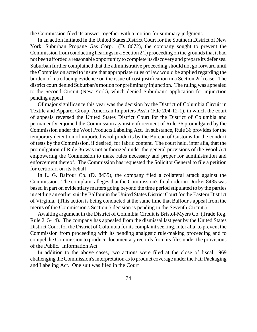the Commission filed its answer together with a motion for summary judgment.

In an action initiated in the United States District Court for the Southern District of New York, Suburban Propane Gas Corp. (D. 8672), the company sought to prevent the Commission from conducting hearings in a Section  $2(f)$  proceeding on the grounds that it had not been afforded a reasonable opportunity to complete its discovery and prepare its defenses. Suburban further complained that the administrative proceeding should not go forward until the Commission acted to insure that appropriate rules of law would be applied regarding the burden of introducing evidence on the issue of cost justification in a Section 2(f) case. The district court denied Suburban's motion for preliminary injunction. The ruling was appealed to the Second Circuit (New York), which denied Suburban's application for injunction pending appeal.

Of major significance this year was the decision by the District of Columbia Circuit in Textile and Apparel Group, American Importers Ass'n (File 204-12-1), in which the court of appeals reversed the United States District Court for the District of Columbia and permanently enjoined the Commission against enforcement of Rule 36 promulgated by the Commission under the Wool Products Labeling Act. In substance, Rule 36 provides for the temporary detention of imported wool products by the Bureau of Customs for the conduct of tests by the Commission, if desired, for fabric content. The court held, inter alia, that the promulgation of Rule 36 was not authorized under the general provisions of the Wool Act empowering the Commission to make rules necessary and proper for administration and enforcement thereof. The Commission has requested the Solicitor General to file a petition for certiorari on its behalf.

In L. G. Balfour Co. (D. 8435), the company filed a collateral attack against the Commission. The complaint alleges that the Commission's final order in Docket 8435 was based in part on evidentiary matters going beyond the time period stipulated to by the parties in settling an earlier suit by Balfour in the United States District Court for the Eastern District of Virginia. (This action is being conducted at the same time that Balfour's appeal from the merits of the Commission's Section 5 decision is pending in the Seventh Circuit.)

Awaiting argument in the District of Columbia Circuit is Bristol-Myers Co. (Trade Reg. Rule 215-14). The company has appealed from the dismissal last year by the United States District Court for the District of Columbia for its complaint seeking, inter alia, to prevent the Commission from proceeding with its pending analgesic rule-making proceeding and to compel the Commission to produce documentary records from its files under the provisions of the Public. Information Act.

In addition to the above cases, two actions were filed at the close of fiscal 1969 challenging the Commission's interpretation as to product coverage under the Fair Packaging and Labeling Act. One suit was filed in the Court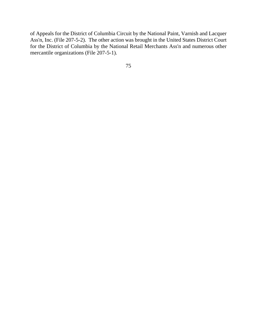of Appeals for the District of Columbia Circuit by the National Paint, Varnish and Lacquer Ass'n, Inc. (File 207-5-2). The other action was brought in the United States District Court for the District of Columbia by the National Retail Merchants Ass'n and numerous other mercantile organizations (File 207-5-1).

75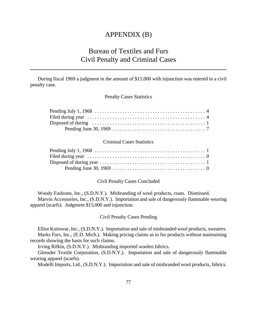## APPENDIX (B)

# Bureau of Textiles and Furs Civil Penalty and Criminal Cases

During fiscal 1969 a judgment in the amount of \$15,000 with injunction was entered in a civil penalty case.

Penalty Cases Statistics

| Filed during year $\dots \dots \dots \dots \dots \dots \dots \dots \dots \dots \dots \dots \dots \dots$ |  |
|---------------------------------------------------------------------------------------------------------|--|
|                                                                                                         |  |
|                                                                                                         |  |

#### Criminal Cases Statistics

Civil Penalty Cases Concluded

Woody Fashions, Inc., (S.D.N.Y.). Misbranding of wool products, coats. Dismissed. Marvin Accessories, Inc., (S.D.N.Y.). Importation and sale of dangerously flammable wearing apparel (scarfs). Judgment \$15,000 and injunction.

Civil Penalty Cases Pending

Elliot Knitwear, Inc., (S.D.N.Y.). Importation and sale of misbranded wool products, sweaters. Marks Furs, Inc., (E.D. Mich.). Making pricing claims as to fur products without maintaining records showing the basis for such claims.

Irving Rifkin, (S.D.N.Y.). Misbranding imported woolen fabrics.

Glensder Textile Corporation, (S.D.N.Y.). Importation and sale of dangerously flammable wearing apparel (scarfs).

Modelli Imports, Ltd., (S.D.N.Y.). Importation and sale of misbranded wool products, fabrics.